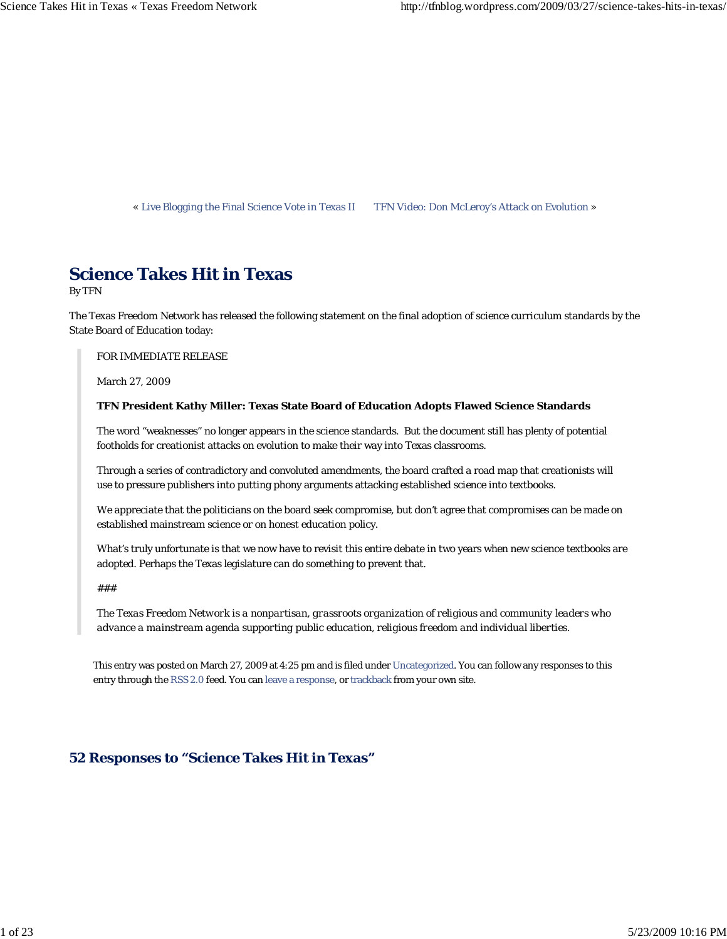« Live Blogging the Final Science Vote in Texas II TFN Video: Don McLeroy's Attack on Evolution »

# **Science Takes Hit in Texas**

By TFN

The Texas Freedom Network has released the following statement on the final adoption of science curriculum standards by the State Board of Education today:

FOR IMMEDIATE RELEASE

March 27, 2009

## **TFN President Kathy Miller: Texas State Board of Education Adopts Flawed Science Standards**

The word "weaknesses" no longer appears in the science standards. But the document still has plenty of potential footholds for creationist attacks on evolution to make their way into Texas classrooms.

Through a series of contradictory and convoluted amendments, the board crafted a road map that creationists will use to pressure publishers into putting phony arguments attacking established science into textbooks.

We appreciate that the politicians on the board seek compromise, but don't agree that compromises can be made on established mainstream science or on honest education policy.

What's truly unfortunate is that we now have to revisit this entire debate in two years when new science textbooks are adopted. Perhaps the Texas legislature can do something to prevent that.

*###*

*The Texas Freedom Network is a nonpartisan, grassroots organization of religious and community leaders who advance a mainstream agenda supporting public education, religious freedom and individual liberties.*

This entry was posted on March 27, 2009 at 4:25 pm and is filed under Uncategorized. You can follow any responses to this entry through the RSS 2.0 feed. You can leave a response, or trackback from your own site.

# **52 Responses to "Science Takes Hit in Texas"**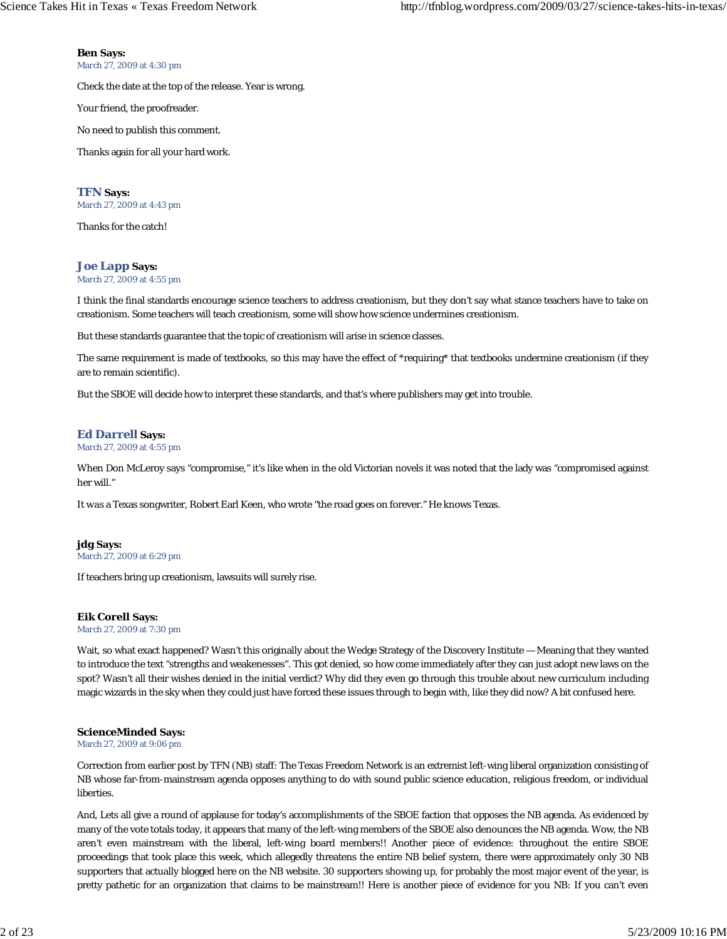**Ben Says:**

March 27, 2009 at 4:30 pm

Check the date at the top of the release. Year is wrong.

Your friend, the proofreader.

No need to publish this comment.

Thanks again for all your hard work.

**TFN Says:** March 27, 2009 at 4:43 pm

Thanks for the catch!

## **Joe Lapp Says:**

March 27, 2009 at 4:55 pm

I think the final standards encourage science teachers to address creationism, but they don't say what stance teachers have to take on creationism. Some teachers will teach creationism, some will show how science undermines creationism.

But these standards guarantee that the topic of creationism will arise in science classes.

The same requirement is made of textbooks, so this may have the effect of \*requiring\* that textbooks undermine creationism (if they are to remain scientific).

But the SBOE will decide how to interpret these standards, and that's where publishers may get into trouble.

## **Ed Darrell Says:**

March 27, 2009 at 4:55 pm

When Don McLeroy says "compromise," it's like when in the old Victorian novels it was noted that the lady was "compromised against her will.'

It *was* a Texas songwriter, Robert Earl Keen, who wrote "the road goes on forever." He knows Texas.

# **jdg Says:**

March 27, 2009 at 6:29 pm

If teachers bring up creationism, lawsuits will surely rise.

## **Eik Corell Says:**

March 27, 2009 at 7:30 pm

Wait, so what exact happened? Wasn't this originally about the Wedge Strategy of the Discovery Institute — Meaning that they wanted to introduce the text "strengths and weakenesses". This got denied, so how come immediately after they can just adopt new laws on the spot? Wasn't all their wishes denied in the initial verdict? Why did they even go through this trouble about new curriculum including magic wizards in the sky when they could just have forced these issues through to begin with, like they did now? A bit confused here.

## **ScienceMinded Says:**

March 27, 2009 at 9:06 pm

Correction from earlier post by TFN (NB) staff: The Texas Freedom Network is an extremist left-wing liberal organization consisting of NB whose far-from-mainstream agenda opposes anything to do with sound public science education, religious freedom, or individual liberties.

And, Lets all give a round of applause for today's accomplishments of the SBOE faction that opposes the NB agenda. As evidenced by many of the vote totals today, it appears that many of the left-wing members of the SBOE also denounces the NB agenda. Wow, the NB aren't even mainstream with the liberal, left-wing board members!! Another piece of evidence: throughout the entire SBOE proceedings that took place this week, which allegedly threatens the entire NB belief system, there were approximately only 30 NB supporters that actually blogged here on the NB website. 30 supporters showing up, for probably the most major event of the year, is pretty pathetic for an organization that claims to be mainstream!! Here is another piece of evidence for you NB: If you can't even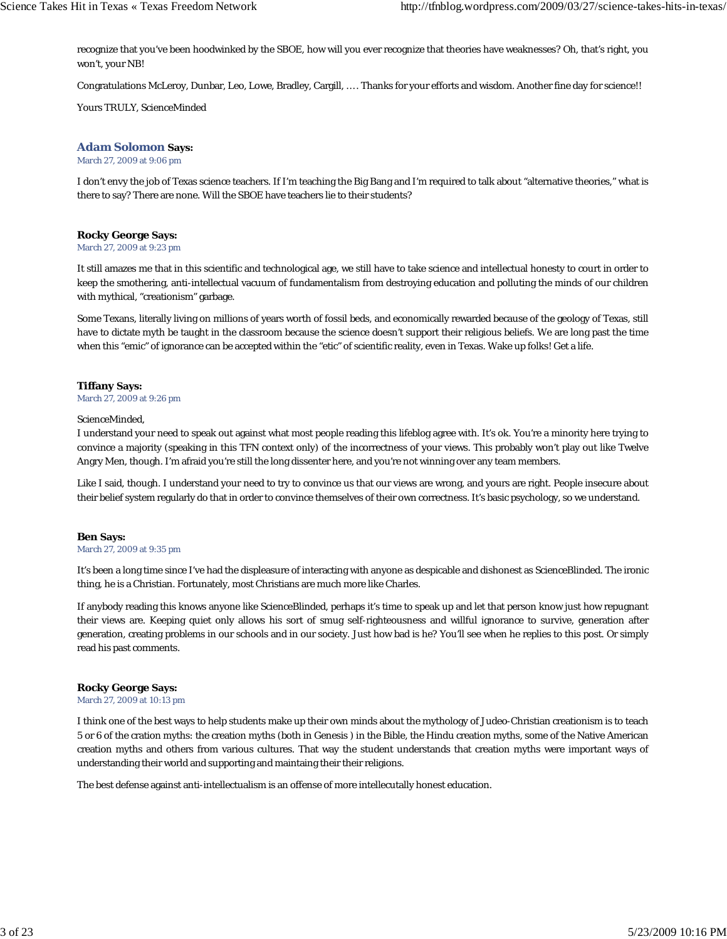recognize that you've been hoodwinked by the SBOE, how will you ever recognize that theories have weaknesses? Oh, that's right, you won't, your NB!

Congratulations McLeroy, Dunbar, Leo, Lowe, Bradley, Cargill, … . Thanks for your efforts and wisdom. Another fine day for science!!

Yours TRULY, ScienceMinded

## **Adam Solomon Says:**

March 27, 2009 at 9:06 pm

I don't envy the job of Texas science teachers. If I'm teaching the Big Bang and I'm required to talk about "alternative theories," what is there to say? There are none. Will the SBOE have teachers lie to their students?

## **Rocky George Says:**

March 27, 2009 at 9:23 pm

It still amazes me that in this scientific and technological age, we still have to take science and intellectual honesty to court in order to keep the smothering, anti-intellectual vacuum of fundamentalism from destroying education and polluting the minds of our children with mythical, "creationism" garbage.

Some Texans, literally living on millions of years worth of fossil beds, and economically rewarded because of the geology of Texas, still have to dictate myth be taught in the classroom because the science doesn't support their religious beliefs. We are long past the time when this "emic" of ignorance can be accepted within the "etic" of scientific reality, even in Texas. Wake up folks! Get a life.

## **Tiffany Says:**

March 27, 2009 at 9:26 pm

#### ScienceMinded,

I understand your need to speak out against what most people reading this lifeblog agree with. It's ok. You're a minority here trying to convince a majority (speaking in this TFN context only) of the incorrectness of your views. This probably won't play out like Twelve Angry Men, though. I'm afraid you're still the long dissenter here, and you're not winning over any team members.

Like I said, though. I understand your need to try to convince us that our views are wrong, and yours are right. People insecure about their belief system regularly do that in order to convince themselves of their own correctness. It's basic psychology, so we understand.

#### **Ben Says:**

#### March 27, 2009 at 9:35 pm

It's been a long time since I've had the displeasure of interacting with anyone as despicable and dishonest as ScienceBlinded. The ironic thing, he is a Christian. Fortunately, most Christians are much more like Charles.

If anybody reading this knows anyone like ScienceBlinded, perhaps it's time to speak up and let that person know just how repugnant their views are. Keeping quiet only allows his sort of smug self-righteousness and willful ignorance to survive, generation after generation, creating problems in our schools and in our society. Just how bad is he? You'll see when he replies to this post. Or simply read his past comments.

#### **Rocky George Says:**

March 27, 2009 at 10:13 pm

I think one of the best ways to help students make up their own minds about the mythology of Judeo-Christian creationism is to teach 5 or 6 of the cration myths: the creation myths (both in Genesis ) in the Bible, the Hindu creation myths, some of the Native American creation myths and others from various cultures. That way the student understands that creation myths were important ways of understanding their world and supporting and maintaing their their religions.

The best defense against anti-intellectualism is an offense of more intellecutally honest education.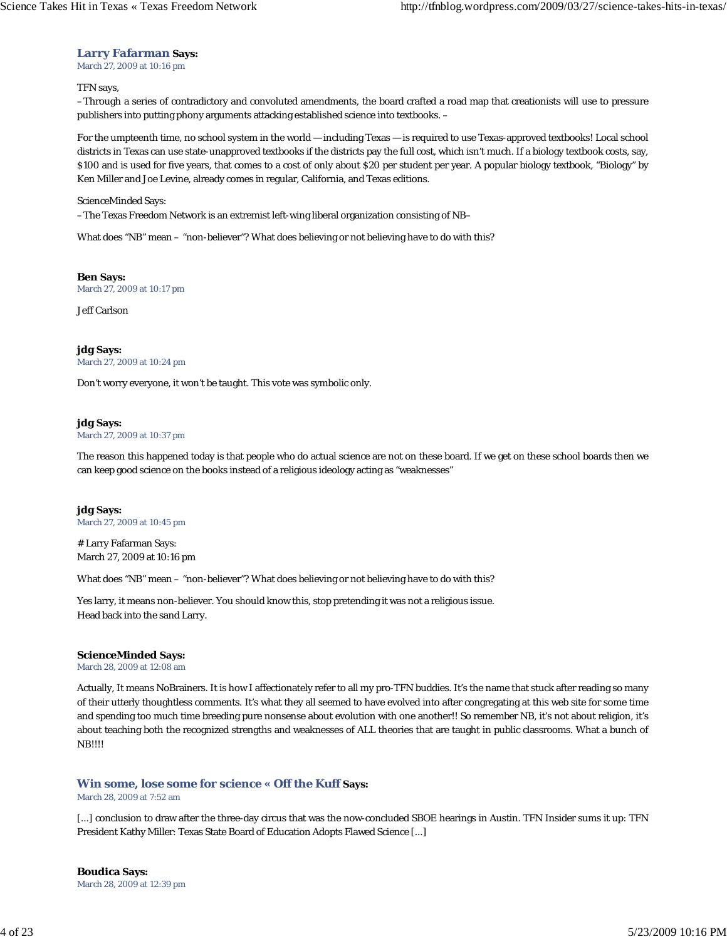## **Larry Fafarman Says:**

March 27, 2009 at 10:16 pm

#### TFN says,

–Through a series of contradictory and convoluted amendments, the board crafted a road map that creationists will use to pressure publishers into putting phony arguments attacking established science into textbooks. –

For the umpteenth time, no school system in the world — including Texas — is required to use Texas-approved textbooks! Local school districts in Texas can use state-unapproved textbooks if the districts pay the full cost, which isn't much. If a biology textbook costs, say, \$100 and is used for five years, that comes to a cost of only about \$20 per student per year. A popular biology textbook, "Biology" by Ken Miller and Joe Levine, already comes in regular, California, and Texas editions.

#### ScienceMinded Says:

–The Texas Freedom Network is an extremist left-wing liberal organization consisting of NB–

What does "NB" mean – "non-believer"? What does believing or not believing have to do with this?

**Ben Says:** March 27, 2009 at 10:17 pm

Jeff Carlson

#### **jdg Says:** March 27, 2009 at 10:24 pm

Don't worry everyone, it won't be taught. This vote was symbolic only.

## **jdg Says:**

March 27, 2009 at 10:37 pm

The reason this happened today is that people who do actual science are not on these board. If we get on these school boards then we can keep good science on the books instead of a religious ideology acting as "weaknesses"

## **jdg Says:** March 27, 2009 at 10:45 pm

# Larry Fafarman Says: March 27, 2009 at 10:16 pm

What does "NB" mean – "non-believer"? What does believing or not believing have to do with this?

Yes larry, it means non-believer. You should know this, stop pretending it was not a religious issue. Head back into the sand Larry.

#### **ScienceMinded Says:**

March 28, 2009 at 12:08 am

Actually, It means NoBrainers. It is how I affectionately refer to all my pro-TFN buddies. It's the name that stuck after reading so many of their utterly thoughtless comments. It's what they all seemed to have evolved into after congregating at this web site for some time and spending too much time breeding pure nonsense about evolution with one another!! So remember NB, it's not about religion, it's about teaching both the recognized strengths and weaknesses of ALL theories that are taught in public classrooms. What a bunch of NB!!!!

## **Win some, lose some for science « Off the Kuff Says:**

March 28, 2009 at 7:52 am

[...] conclusion to draw after the three-day circus that was the now-concluded SBOE hearings in Austin. TFN Insider sums it up: TFN President Kathy Miller: Texas State Board of Education Adopts Flawed Science [...]

**Boudica Says:** March 28, 2009 at 12:39 pm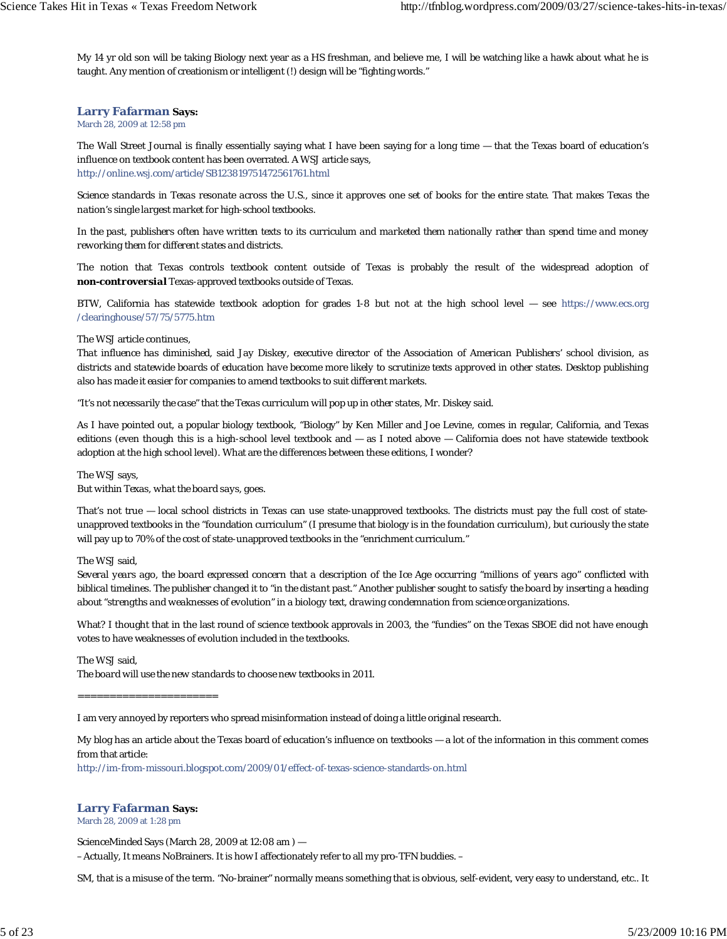My 14 yr old son will be taking Biology next year as a HS freshman, and believe me, I will be watching like a hawk about what he is taught. Any mention of creationism or intelligent (!) design will be "fighting words."

#### **Larry Fafarman Says:**

#### March 28, 2009 at 12:58 pm

The Wall Street Journal is finally essentially saying what I have been saying for a long time — that the Texas board of education's influence on textbook content has been overrated. A WSJ article says, http://online.wsj.com/article/SB123819751472561761.html

*Science standards in Texas resonate across the U.S., since it approves one set of books for the entire state. That makes Texas the nation's single largest market for high-school textbooks.*

*In the past, publishers often have written texts to its curriculum and marketed them nationally rather than spend time and money reworking them for different states and districts.*

The notion that Texas controls textbook content outside of Texas is probably the result of the widespread adoption of *non-controversial* Texas-approved textbooks outside of Texas.

BTW, California has statewide textbook adoption for grades 1-8 but not at the high school level — see https://www.ecs.org /clearinghouse/57/75/5775.htm

#### The WSJ article continues,

*That influence has diminished, said Jay Diskey, executive director of the Association of American Publishers' school division, as districts and statewide boards of education have become more likely to scrutinize texts approved in other states. Desktop publishing also has made it easier for companies to amend textbooks to suit different markets.*

*"It's not necessarily the case" that the Texas curriculum will pop up in other states, Mr. Diskey said.*

As I have pointed out, a popular biology textbook, "Biology" by Ken Miller and Joe Levine, comes in regular, California, and Texas editions (even though this is a high-school level textbook and — as I noted above — California does not have statewide textbook adoption at the high school level). What are the differences between these editions, I wonder?

The WSJ says,

*But within Texas, what the board says, goes.*

That's not true — local school districts in Texas can use state-unapproved textbooks. The districts must pay the full cost of stateunapproved textbooks in the "foundation curriculum" (I presume that biology is in the foundation curriculum), but curiously the state will pay up to 70% of the cost of state-unapproved textbooks in the "enrichment curriculum."

#### The WSJ said,

*Several years ago, the board expressed concern that a description of the Ice Age occurring "millions of years ago" conflicted with biblical timelines. The publisher changed it to "in the distant past." Another publisher sought to satisfy the board by inserting a heading about "strengths and weaknesses of evolution" in a biology text, drawing condemnation from science organizations.*

What? I thought that in the last round of science textbook approvals in 2003, the "fundies" on the Texas SBOE did not have enough votes to have weaknesses of evolution included in the textbooks.

The WSJ said, *The board will use the new standards to choose new textbooks in 2011.*

======================

I am very annoyed by reporters who spread misinformation instead of doing a little original research.

My blog has an article about the Texas board of education's influence on textbooks — a lot of the information in this comment comes from that article:

http://im-from-missouri.blogspot.com/2009/01/effect-of-texas-science-standards-on.html

## **Larry Fafarman Says:**

March 28, 2009 at 1:28 pm

ScienceMinded Says (March 28, 2009 at 12:08 am ) — –Actually, It means NoBrainers. It is how I affectionately refer to all my pro-TFN buddies. –

SM, that is a misuse of the term. "No-brainer" normally means something that is obvious, self-evident, very easy to understand, etc.. It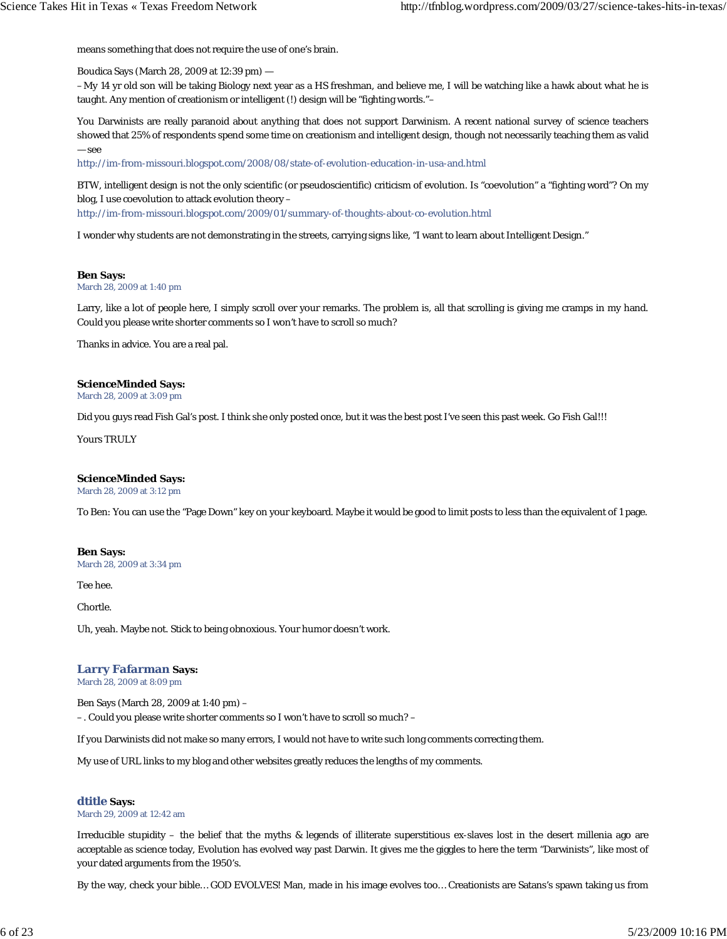means something that does not require the use of one's brain.

Boudica Says (March 28, 2009 at 12:39 pm) —

–My 14 yr old son will be taking Biology next year as a HS freshman, and believe me, I will be watching like a hawk about what he is taught. Any mention of creationism or intelligent (!) design will be "fighting words."–

You Darwinists are really paranoid about anything that does not support Darwinism. A recent national survey of science teachers showed that 25% of respondents spend some time on creationism and intelligent design, though not necessarily teaching them as valid — see

http://im-from-missouri.blogspot.com/2008/08/state-of-evolution-education-in-usa-and.html

BTW, intelligent design is not the only scientific (or pseudoscientific) criticism of evolution. Is "coevolution" a "fighting word"? On my blog, I use coevolution to attack evolution theory –

http://im-from-missouri.blogspot.com/2009/01/summary-of-thoughts-about-co-evolution.html

I wonder why students are not demonstrating in the streets, carrying signs like, "I want to learn about Intelligent Design."

#### **Ben Says:**

March 28, 2009 at 1:40 pm

Larry, like a lot of people here, I simply scroll over your remarks. The problem is, all that scrolling is giving me cramps in my hand. Could you please write shorter comments so I won't have to scroll so much?

Thanks in advice. You are a real pal.

#### **ScienceMinded Says:**

March 28, 2009 at 3:09 pm

Did you guys read Fish Gal's post. I think she only posted once, but it was the best post I've seen this past week. Go Fish Gal!!!

Yours TRULY

#### **ScienceMinded Says:**

March 28, 2009 at 3:12 pm

To Ben: You can use the "Page Down" key on your keyboard. Maybe it would be good to limit posts to less than the equivalent of 1 page.

#### **Ben Says:**

March 28, 2009 at 3:34 pm

Tee hee.

Chortle.

Uh, yeah. Maybe not. Stick to being obnoxious. Your humor doesn't work.

#### **Larry Fafarman Says:**

March 28, 2009 at 8:09 pm

Ben Says (March 28, 2009 at 1:40 pm) –

–. Could you please write shorter comments so I won't have to scroll so much? –

If you Darwinists did not make so many errors, I would not have to write such long comments correcting them.

My use of URL links to my blog and other websites greatly reduces the lengths of my comments.

#### **dtitle Says:**

March 29, 2009 at 12:42 am

Irreducible stupidity – the belief that the myths & legends of illiterate superstitious ex-slaves lost in the desert millenia ago are acceptable as science today, Evolution has evolved way past Darwin. It gives me the giggles to here the term "Darwinists", like most of your dated arguments from the 1950's.

By the way, check your bible… GOD EVOLVES! Man, made in his image evolves too… Creationists are Satans's spawn taking us from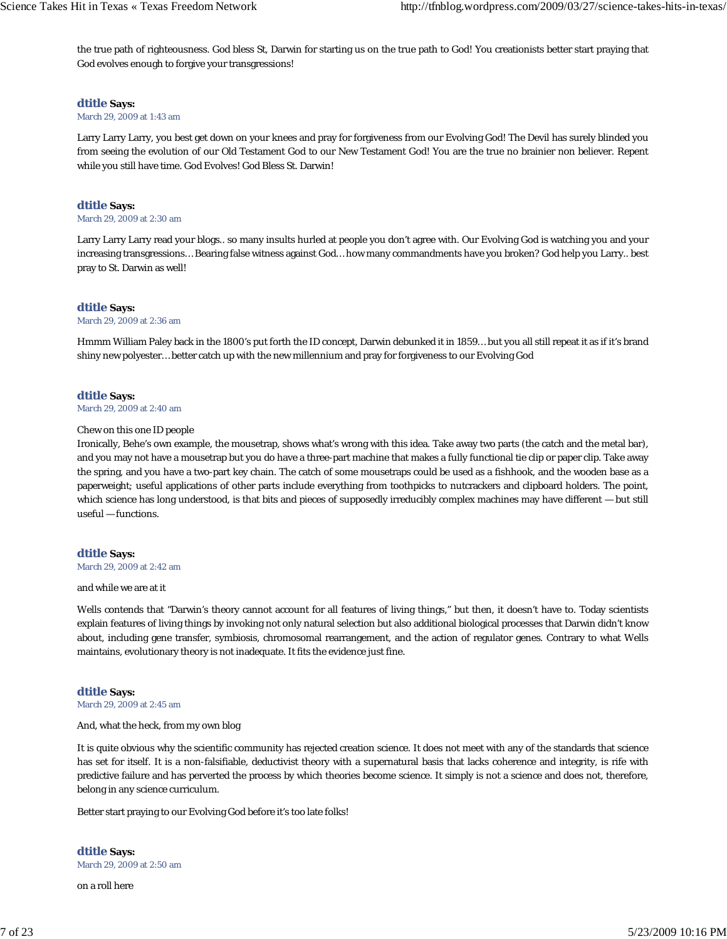the true path of righteousness. God bless St, Darwin for starting us on the true path to God! You creationists better start praying that God evolves enough to forgive your transgressions!

#### **dtitle Says:**

#### March 29, 2009 at 1:43 am

Larry Larry Larry, you best get down on your knees and pray for forgiveness from our Evolving God! The Devil has surely blinded you from seeing the evolution of our Old Testament God to our New Testament God! You are the true no brainier non believer. Repent while you still have time. God Evolves! God Bless St. Darwin!

## **dtitle Says:**

#### March 29, 2009 at 2:30 am

Larry Larry Larry read your blogs.. so many insults hurled at people you don't agree with. Our Evolving God is watching you and your increasing transgressions… Bearing false witness against God… how many commandments have you broken? God help you Larry.. best pray to St. Darwin as well!

#### **dtitle Says:**

#### March 29, 2009 at 2:36 am

Hmmm William Paley back in the 1800's put forth the ID concept, Darwin debunked it in 1859… but you all still repeat it as if it's brand shiny new polyester… better catch up with the new millennium and pray for forgiveness to our Evolving God

#### **dtitle Says:**

March 29, 2009 at 2:40 am

#### Chew on this one ID people

Ironically, Behe's own example, the mousetrap, shows what's wrong with this idea. Take away two parts (the catch and the metal bar), and you may not have a mousetrap but you do have a three-part machine that makes a fully functional tie clip or paper clip. Take away the spring, and you have a two-part key chain. The catch of some mousetraps could be used as a fishhook, and the wooden base as a paperweight; useful applications of other parts include everything from toothpicks to nutcrackers and clipboard holders. The point, which science has long understood, is that bits and pieces of supposedly irreducibly complex machines may have different — but still useful — functions.

#### **dtitle Says:**

March 29, 2009 at 2:42 am

#### and while we are at it

Wells contends that "Darwin's theory cannot account for all features of living things," but then, it doesn't have to. Today scientists explain features of living things by invoking not only natural selection but also additional biological processes that Darwin didn't know about, including gene transfer, symbiosis, chromosomal rearrangement, and the action of regulator genes. Contrary to what Wells maintains, evolutionary theory is not inadequate. It fits the evidence just fine.

#### **dtitle Says:**

March 29, 2009 at 2:45 am

#### And, what the heck, from my own blog

It is quite obvious why the scientific community has rejected creation science. It does not meet with any of the standards that science has set for itself. It is a non-falsifiable, deductivist theory with a supernatural basis that lacks coherence and integrity, is rife with predictive failure and has perverted the process by which theories become science. It simply is not a science and does not, therefore, belong in any science curriculum.

Better start praying to our Evolving God before it's too late folks!

**dtitle Says:** March 29, 2009 at 2:50 am

on a roll here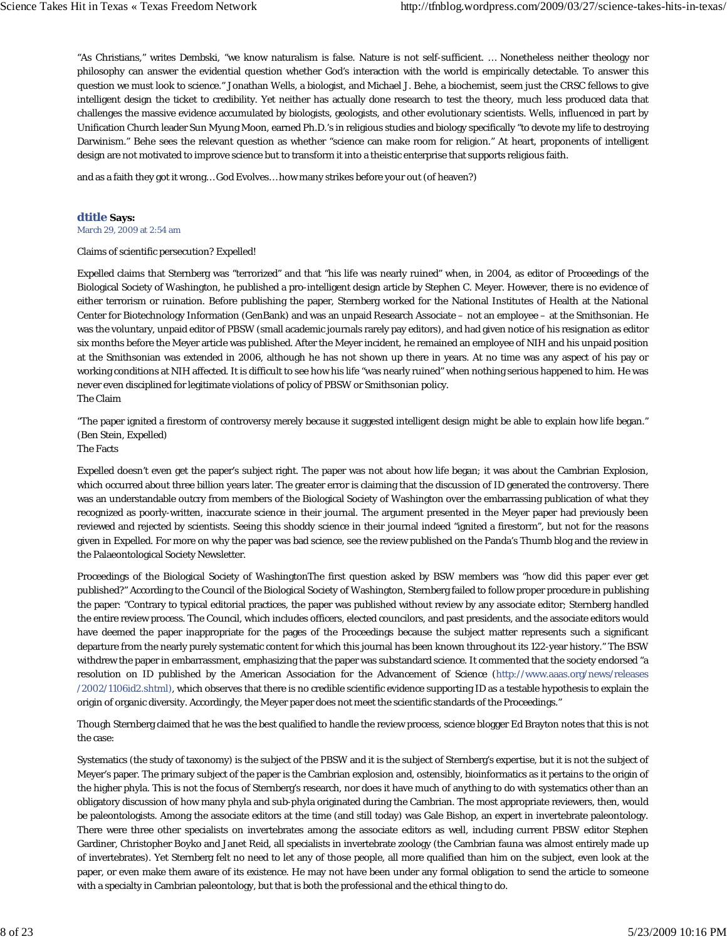"As Christians," writes Dembski, "we know naturalism is false. Nature is not self-sufficient. … Nonetheless neither theology nor philosophy can answer the evidential question whether God's interaction with the world is empirically detectable. To answer this question we must look to science." Jonathan Wells, a biologist, and Michael J. Behe, a biochemist, seem just the CRSC fellows to give intelligent design the ticket to credibility. Yet neither has actually done research to test the theory, much less produced data that challenges the massive evidence accumulated by biologists, geologists, and other evolutionary scientists. Wells, influenced in part by Unification Church leader Sun Myung Moon, earned Ph.D.'s in religious studies and biology specifically "to devote my life to destroying Darwinism." Behe sees the relevant question as whether "science can make room for religion." At heart, proponents of intelligent design are not motivated to improve science but to transform it into a theistic enterprise that supports religious faith.

and as a faith they got it wrong… God Evolves… how many strikes before your out (of heaven?)

#### **dtitle Says:**

March 29, 2009 at 2:54 am

#### Claims of scientific persecution? Expelled!

Expelled claims that Sternberg was "terrorized" and that "his life was nearly ruined" when, in 2004, as editor of Proceedings of the Biological Society of Washington, he published a pro-intelligent design article by Stephen C. Meyer. However, there is no evidence of either terrorism or ruination. Before publishing the paper, Sternberg worked for the National Institutes of Health at the National Center for Biotechnology Information (GenBank) and was an unpaid Research Associate – not an employee – at the Smithsonian. He was the voluntary, unpaid editor of PBSW (small academic journals rarely pay editors), and had given notice of his resignation as editor six months before the Meyer article was published. After the Meyer incident, he remained an employee of NIH and his unpaid position at the Smithsonian was extended in 2006, although he has not shown up there in years. At no time was any aspect of his pay or working conditions at NIH affected. It is difficult to see how his life "was nearly ruined" when nothing serious happened to him. He was never even disciplined for legitimate violations of policy of PBSW or Smithsonian policy. The Claim

"The paper ignited a firestorm of controversy merely because it suggested intelligent design might be able to explain how life began." (Ben Stein, Expelled)

The Facts

Expelled doesn't even get the paper's subject right. The paper was not about how life began; it was about the Cambrian Explosion, which occurred about three billion years later. The greater error is claiming that the discussion of ID generated the controversy. There was an understandable outcry from members of the Biological Society of Washington over the embarrassing publication of what they recognized as poorly-written, inaccurate science in their journal. The argument presented in the Meyer paper had previously been reviewed and rejected by scientists. Seeing this shoddy science in their journal indeed "ignited a firestorm", but not for the reasons given in Expelled. For more on why the paper was bad science, see the review published on the Panda's Thumb blog and the review in the Palaeontological Society Newsletter.

Proceedings of the Biological Society of WashingtonThe first question asked by BSW members was "how did this paper ever get published?" According to the Council of the Biological Society of Washington, Sternberg failed to follow proper procedure in publishing the paper: "Contrary to typical editorial practices, the paper was published without review by any associate editor; Sternberg handled the entire review process. The Council, which includes officers, elected councilors, and past presidents, and the associate editors would have deemed the paper inappropriate for the pages of the Proceedings because the subject matter represents such a significant departure from the nearly purely systematic content for which this journal has been known throughout its 122-year history." The BSW withdrew the paper in embarrassment, emphasizing that the paper was substandard science. It commented that the society endorsed "a resolution on ID published by the American Association for the Advancement of Science (http://www.aaas.org/news/releases /2002/1106id2.shtml), which observes that there is no credible scientific evidence supporting ID as a testable hypothesis to explain the origin of organic diversity. Accordingly, the Meyer paper does not meet the scientific standards of the Proceedings."

Though Sternberg claimed that he was the best qualified to handle the review process, science blogger Ed Brayton notes that this is not the case:

Systematics (the study of taxonomy) is the subject of the PBSW and it is the subject of Sternberg's expertise, but it is not the subject of Meyer's paper. The primary subject of the paper is the Cambrian explosion and, ostensibly, bioinformatics as it pertains to the origin of the higher phyla. This is not the focus of Sternberg's research, nor does it have much of anything to do with systematics other than an obligatory discussion of how many phyla and sub-phyla originated during the Cambrian. The most appropriate reviewers, then, would be paleontologists. Among the associate editors at the time (and still today) was Gale Bishop, an expert in invertebrate paleontology. There were three other specialists on invertebrates among the associate editors as well, including current PBSW editor Stephen Gardiner, Christopher Boyko and Janet Reid, all specialists in invertebrate zoology (the Cambrian fauna was almost entirely made up of invertebrates). Yet Sternberg felt no need to let any of those people, all more qualified than him on the subject, even look at the paper, or even make them aware of its existence. He may not have been under any formal obligation to send the article to someone with a specialty in Cambrian paleontology, but that is both the professional and the ethical thing to do.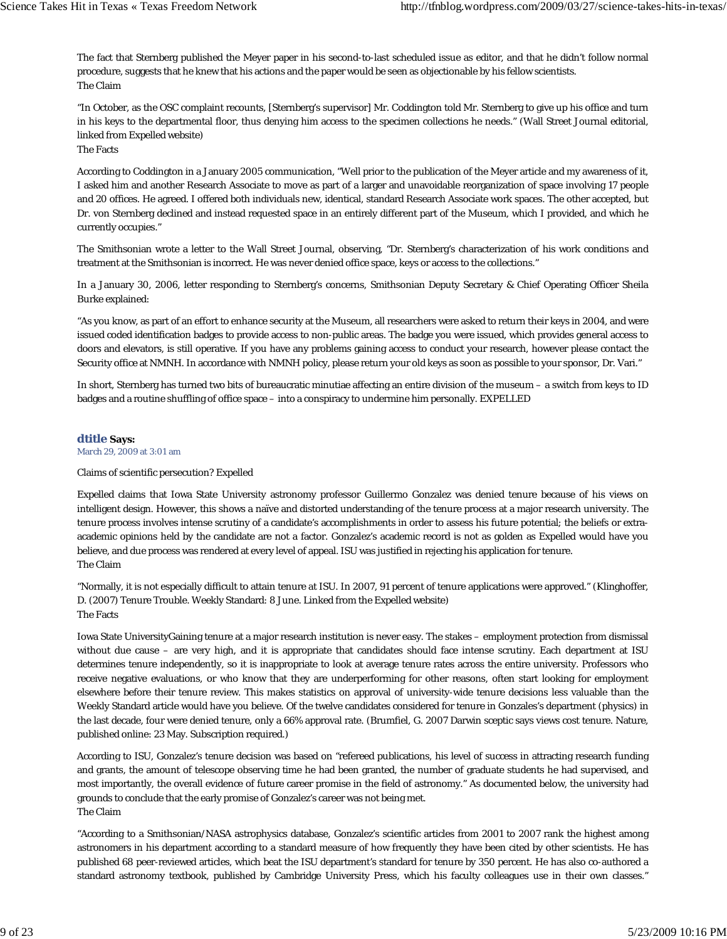The fact that Sternberg published the Meyer paper in his second-to-last scheduled issue as editor, and that he didn't follow normal procedure, suggests that he knew that his actions and the paper would be seen as objectionable by his fellow scientists. The Claim

"In October, as the OSC complaint recounts, [Sternberg's supervisor] Mr. Coddington told Mr. Sternberg to give up his office and turn in his keys to the departmental floor, thus denying him access to the specimen collections he needs." (Wall Street Journal editorial, linked from Expelled website)

The Facts

According to Coddington in a January 2005 communication, "Well prior to the publication of the Meyer article and my awareness of it, I asked him and another Research Associate to move as part of a larger and unavoidable reorganization of space involving 17 people and 20 offices. He agreed. I offered both individuals new, identical, standard Research Associate work spaces. The other accepted, but Dr. von Sternberg declined and instead requested space in an entirely different part of the Museum, which I provided, and which he currently occupies."

The Smithsonian wrote a letter to the Wall Street Journal, observing, "Dr. Sternberg's characterization of his work conditions and treatment at the Smithsonian is incorrect. He was never denied office space, keys or access to the collections."

In a January 30, 2006, letter responding to Sternberg's concerns, Smithsonian Deputy Secretary & Chief Operating Officer Sheila Burke explained:

"As you know, as part of an effort to enhance security at the Museum, all researchers were asked to return their keys in 2004, and were issued coded identification badges to provide access to non-public areas. The badge you were issued, which provides general access to doors and elevators, is still operative. If you have any problems gaining access to conduct your research, however please contact the Security office at NMNH. In accordance with NMNH policy, please return your old keys as soon as possible to your sponsor, Dr. Vari."

In short, Sternberg has turned two bits of bureaucratic minutiae affecting an entire division of the museum – a switch from keys to ID badges and a routine shuffling of office space – into a conspiracy to undermine him personally. EXPELLED

#### **dtitle Says:**

March 29, 2009 at 3:01 am

## Claims of scientific persecution? Expelled

Expelled claims that Iowa State University astronomy professor Guillermo Gonzalez was denied tenure because of his views on intelligent design. However, this shows a naïve and distorted understanding of the tenure process at a major research university. The tenure process involves intense scrutiny of a candidate's accomplishments in order to assess his future potential; the beliefs or extraacademic opinions held by the candidate are not a factor. Gonzalez's academic record is not as golden as Expelled would have you believe, and due process was rendered at every level of appeal. ISU was justified in rejecting his application for tenure. The Claim

"Normally, it is not especially difficult to attain tenure at ISU. In 2007, 91 percent of tenure applications were approved." (Klinghoffer, D. (2007) Tenure Trouble. Weekly Standard: 8 June. Linked from the Expelled website) The Facts

Iowa State UniversityGaining tenure at a major research institution is never easy. The stakes – employment protection from dismissal without due cause – are very high, and it is appropriate that candidates should face intense scrutiny. Each department at ISU determines tenure independently, so it is inappropriate to look at average tenure rates across the entire university. Professors who receive negative evaluations, or who know that they are underperforming for other reasons, often start looking for employment elsewhere before their tenure review. This makes statistics on approval of university-wide tenure decisions less valuable than the Weekly Standard article would have you believe. Of the twelve candidates considered for tenure in Gonzales's department (physics) in the last decade, four were denied tenure, only a 66% approval rate. (Brumfiel, G. 2007 Darwin sceptic says views cost tenure. Nature, published online: 23 May. Subscription required.)

According to ISU, Gonzalez's tenure decision was based on "refereed publications, his level of success in attracting research funding and grants, the amount of telescope observing time he had been granted, the number of graduate students he had supervised, and most importantly, the overall evidence of future career promise in the field of astronomy." As documented below, the university had grounds to conclude that the early promise of Gonzalez's career was not being met. The Claim

"According to a Smithsonian/NASA astrophysics database, Gonzalez's scientific articles from 2001 to 2007 rank the highest among astronomers in his department according to a standard measure of how frequently they have been cited by other scientists. He has published 68 peer-reviewed articles, which beat the ISU department's standard for tenure by 350 percent. He has also co-authored a standard astronomy textbook, published by Cambridge University Press, which his faculty colleagues use in their own classes."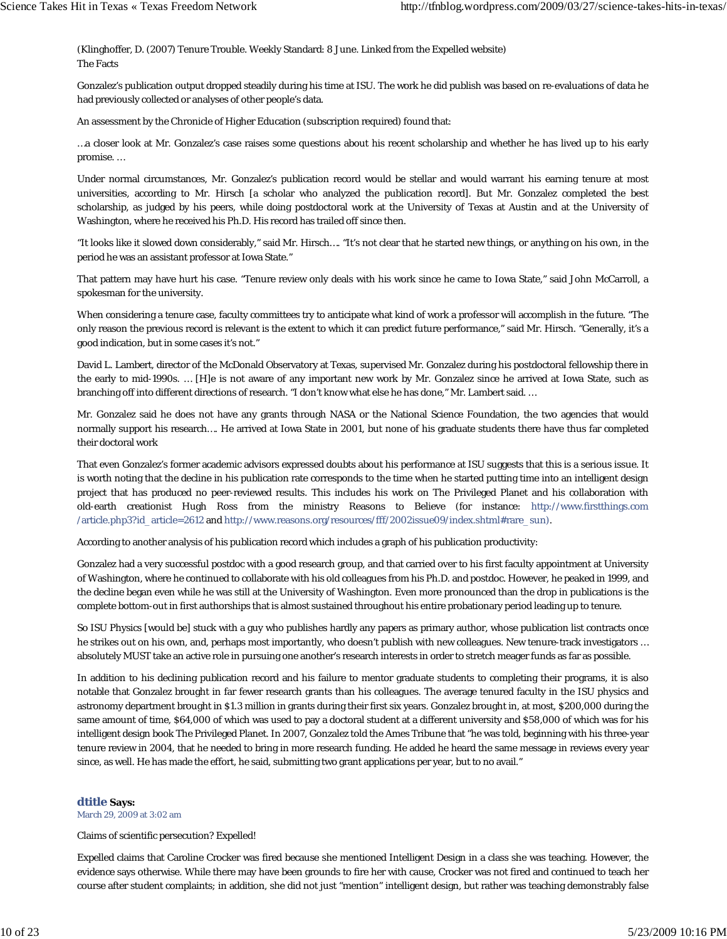(Klinghoffer, D. (2007) Tenure Trouble. Weekly Standard: 8 June. Linked from the Expelled website) The Facts

Gonzalez's publication output dropped steadily during his time at ISU. The work he did publish was based on re-evaluations of data he had previously collected or analyses of other people's data.

An assessment by the Chronicle of Higher Education (subscription required) found that:

…a closer look at Mr. Gonzalez's case raises some questions about his recent scholarship and whether he has lived up to his early promise. …

Under normal circumstances, Mr. Gonzalez's publication record would be stellar and would warrant his earning tenure at most universities, according to Mr. Hirsch [a scholar who analyzed the publication record]. But Mr. Gonzalez completed the best scholarship, as judged by his peers, while doing postdoctoral work at the University of Texas at Austin and at the University of Washington, where he received his Ph.D. His record has trailed off since then.

"It looks like it slowed down considerably," said Mr. Hirsch…. "It's not clear that he started new things, or anything on his own, in the period he was an assistant professor at Iowa State."

That pattern may have hurt his case. "Tenure review only deals with his work since he came to Iowa State," said John McCarroll, a spokesman for the university.

When considering a tenure case, faculty committees try to anticipate what kind of work a professor will accomplish in the future. "The only reason the previous record is relevant is the extent to which it can predict future performance," said Mr. Hirsch. "Generally, it's a good indication, but in some cases it's not."

David L. Lambert, director of the McDonald Observatory at Texas, supervised Mr. Gonzalez during his postdoctoral fellowship there in the early to mid-1990s. … [H]e is not aware of any important new work by Mr. Gonzalez since he arrived at Iowa State, such as branching off into different directions of research. "I don't know what else he has done," Mr. Lambert said. …

Mr. Gonzalez said he does not have any grants through NASA or the National Science Foundation, the two agencies that would normally support his research…. He arrived at Iowa State in 2001, but none of his graduate students there have thus far completed their doctoral work

That even Gonzalez's former academic advisors expressed doubts about his performance at ISU suggests that this is a serious issue. It is worth noting that the decline in his publication rate corresponds to the time when he started putting time into an intelligent design project that has produced no peer-reviewed results. This includes his work on The Privileged Planet and his collaboration with old-earth creationist Hugh Ross from the ministry Reasons to Believe (for instance: http://www.firstthings.com /article.php3?id\_article=2612 and http://www.reasons.org/resources/fff/2002issue09/index.shtml#rare\_sun).

According to another analysis of his publication record which includes a graph of his publication productivity:

Gonzalez had a very successful postdoc with a good research group, and that carried over to his first faculty appointment at University of Washington, where he continued to collaborate with his old colleagues from his Ph.D. and postdoc. However, he peaked in 1999, and the decline began even while he was still at the University of Washington. Even more pronounced than the drop in publications is the complete bottom-out in first authorships that is almost sustained throughout his entire probationary period leading up to tenure.

So ISU Physics [would be] stuck with a guy who publishes hardly any papers as primary author, whose publication list contracts once he strikes out on his own, and, perhaps most importantly, who doesn't publish with new colleagues. New tenure-track investigators … absolutely MUST take an active role in pursuing one another's research interests in order to stretch meager funds as far as possible.

In addition to his declining publication record and his failure to mentor graduate students to completing their programs, it is also notable that Gonzalez brought in far fewer research grants than his colleagues. The average tenured faculty in the ISU physics and astronomy department brought in \$1.3 million in grants during their first six years. Gonzalez brought in, at most, \$200,000 during the same amount of time, \$64,000 of which was used to pay a doctoral student at a different university and \$58,000 of which was for his intelligent design book The Privileged Planet. In 2007, Gonzalez told the Ames Tribune that "he was told, beginning with his three-year tenure review in 2004, that he needed to bring in more research funding. He added he heard the same message in reviews every year since, as well. He has made the effort, he said, submitting two grant applications per year, but to no avail."

## **dtitle Says:**

March 29, 2009 at 3:02 am

Claims of scientific persecution? Expelled!

Expelled claims that Caroline Crocker was fired because she mentioned Intelligent Design in a class she was teaching. However, the evidence says otherwise. While there may have been grounds to fire her with cause, Crocker was not fired and continued to teach her course after student complaints; in addition, she did not just "mention" intelligent design, but rather was teaching demonstrably false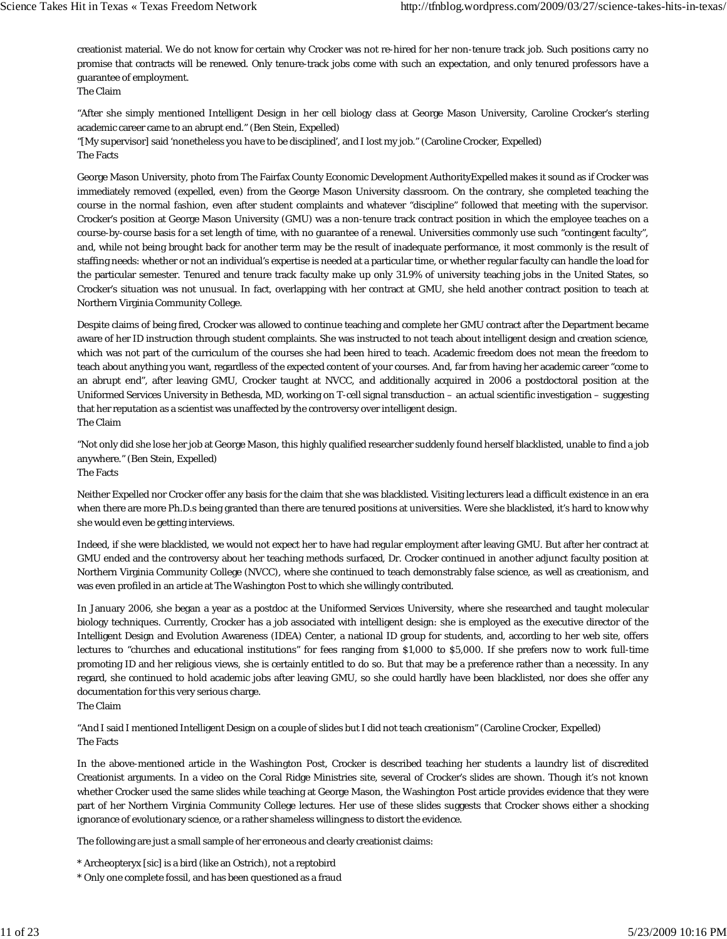creationist material. We do not know for certain why Crocker was not re-hired for her non-tenure track job. Such positions carry no promise that contracts will be renewed. Only tenure-track jobs come with such an expectation, and only tenured professors have a guarantee of employment.

The Claim

"After she simply mentioned Intelligent Design in her cell biology class at George Mason University, Caroline Crocker's sterling academic career came to an abrupt end." (Ben Stein, Expelled)

"[My supervisor] said 'nonetheless you have to be disciplined', and I lost my job." (Caroline Crocker, Expelled) The Facts

George Mason University, photo from The Fairfax County Economic Development AuthorityExpelled makes it sound as if Crocker was immediately removed (expelled, even) from the George Mason University classroom. On the contrary, she completed teaching the course in the normal fashion, even after student complaints and whatever "discipline" followed that meeting with the supervisor. Crocker's position at George Mason University (GMU) was a non-tenure track contract position in which the employee teaches on a course-by-course basis for a set length of time, with no guarantee of a renewal. Universities commonly use such "contingent faculty", and, while not being brought back for another term may be the result of inadequate performance, it most commonly is the result of staffing needs: whether or not an individual's expertise is needed at a particular time, or whether regular faculty can handle the load for the particular semester. Tenured and tenure track faculty make up only 31.9% of university teaching jobs in the United States, so Crocker's situation was not unusual. In fact, overlapping with her contract at GMU, she held another contract position to teach at Northern Virginia Community College.

Despite claims of being fired, Crocker was allowed to continue teaching and complete her GMU contract after the Department became aware of her ID instruction through student complaints. She was instructed to not teach about intelligent design and creation science, which was not part of the curriculum of the courses she had been hired to teach. Academic freedom does not mean the freedom to teach about anything you want, regardless of the expected content of your courses. And, far from having her academic career "come to an abrupt end", after leaving GMU, Crocker taught at NVCC, and additionally acquired in 2006 a postdoctoral position at the Uniformed Services University in Bethesda, MD, working on T-cell signal transduction – an actual scientific investigation – suggesting that her reputation as a scientist was unaffected by the controversy over intelligent design. The Claim

"Not only did she lose her job at George Mason, this highly qualified researcher suddenly found herself blacklisted, unable to find a job anywhere." (Ben Stein, Expelled) The Facts

Neither Expelled nor Crocker offer any basis for the claim that she was blacklisted. Visiting lecturers lead a difficult existence in an era when there are more Ph.D.s being granted than there are tenured positions at universities. Were she blacklisted, it's hard to know why she would even be getting interviews.

Indeed, if she were blacklisted, we would not expect her to have had regular employment after leaving GMU. But after her contract at GMU ended and the controversy about her teaching methods surfaced, Dr. Crocker continued in another adjunct faculty position at Northern Virginia Community College (NVCC), where she continued to teach demonstrably false science, as well as creationism, and was even profiled in an article at The Washington Post to which she willingly contributed.

In January 2006, she began a year as a postdoc at the Uniformed Services University, where she researched and taught molecular biology techniques. Currently, Crocker has a job associated with intelligent design: she is employed as the executive director of the Intelligent Design and Evolution Awareness (IDEA) Center, a national ID group for students, and, according to her web site, offers lectures to "churches and educational institutions" for fees ranging from \$1,000 to \$5,000. If she prefers now to work full-time promoting ID and her religious views, she is certainly entitled to do so. But that may be a preference rather than a necessity. In any regard, she continued to hold academic jobs after leaving GMU, so she could hardly have been blacklisted, nor does she offer any documentation for this very serious charge.

The Claim

"And I said I mentioned Intelligent Design on a couple of slides but I did not teach creationism" (Caroline Crocker, Expelled) The Facts

In the above-mentioned article in the Washington Post, Crocker is described teaching her students a laundry list of discredited Creationist arguments. In a video on the Coral Ridge Ministries site, several of Crocker's slides are shown. Though it's not known whether Crocker used the same slides while teaching at George Mason, the Washington Post article provides evidence that they were part of her Northern Virginia Community College lectures. Her use of these slides suggests that Crocker shows either a shocking ignorance of evolutionary science, or a rather shameless willingness to distort the evidence.

The following are just a small sample of her erroneous and clearly creationist claims:

\* Archeopteryx [sic] is a bird (like an Ostrich), not a reptobird

\* Only one complete fossil, and has been questioned as a fraud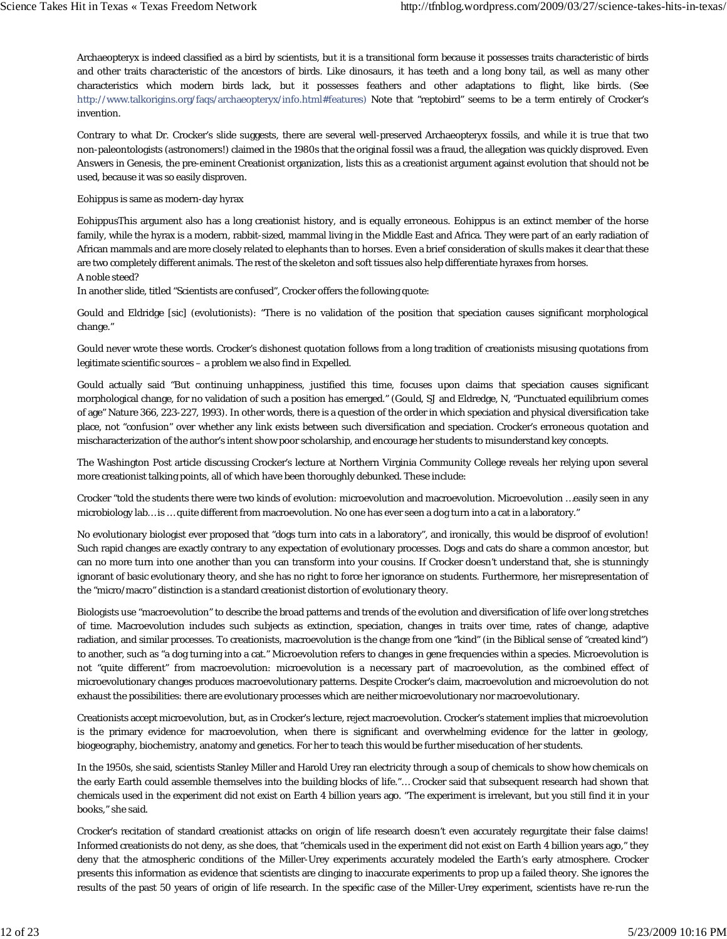Archaeopteryx is indeed classified as a bird by scientists, but it is a transitional form because it possesses traits characteristic of birds and other traits characteristic of the ancestors of birds. Like dinosaurs, it has teeth and a long bony tail, as well as many other characteristics which modern birds lack, but it possesses feathers and other adaptations to flight, like birds. (See http://www.talkorigins.org/faqs/archaeopteryx/info.html#features) Note that "reptobird" seems to be a term entirely of Crocker's invention.

Contrary to what Dr. Crocker's slide suggests, there are several well-preserved Archaeopteryx fossils, and while it is true that two non-paleontologists (astronomers!) claimed in the 1980s that the original fossil was a fraud, the allegation was quickly disproved. Even Answers in Genesis, the pre-eminent Creationist organization, lists this as a creationist argument against evolution that should not be used, because it was so easily disproven.

## Eohippus is same as modern-day hyrax

EohippusThis argument also has a long creationist history, and is equally erroneous. Eohippus is an extinct member of the horse family, while the hyrax is a modern, rabbit-sized, mammal living in the Middle East and Africa. They were part of an early radiation of African mammals and are more closely related to elephants than to horses. Even a brief consideration of skulls makes it clear that these are two completely different animals. The rest of the skeleton and soft tissues also help differentiate hyraxes from horses. A noble steed?

In another slide, titled "Scientists are confused", Crocker offers the following quote:

Gould and Eldridge [sic] (evolutionists): "There is no validation of the position that speciation causes significant morphological change."

Gould never wrote these words. Crocker's dishonest quotation follows from a long tradition of creationists misusing quotations from legitimate scientific sources – a problem we also find in Expelled.

Gould actually said "But continuing unhappiness, justified this time, focuses upon claims that speciation causes significant morphological change, for no validation of such a position has emerged." (Gould, SJ and Eldredge, N, "Punctuated equilibrium comes of age" Nature 366, 223-227, 1993). In other words, there is a question of the order in which speciation and physical diversification take place, not "confusion" over whether any link exists between such diversification and speciation. Crocker's erroneous quotation and mischaracterization of the author's intent show poor scholarship, and encourage her students to misunderstand key concepts.

The Washington Post article discussing Crocker's lecture at Northern Virginia Community College reveals her relying upon several more creationist talking points, all of which have been thoroughly debunked. These include:

Crocker "told the students there were two kinds of evolution: microevolution and macroevolution. Microevolution …easily seen in any microbiology lab… is … quite different from macroevolution. No one has ever seen a dog turn into a cat in a laboratory."

No evolutionary biologist ever proposed that "dogs turn into cats in a laboratory", and ironically, this would be disproof of evolution! Such rapid changes are exactly contrary to any expectation of evolutionary processes. Dogs and cats do share a common ancestor, but can no more turn into one another than you can transform into your cousins. If Crocker doesn't understand that, she is stunningly ignorant of basic evolutionary theory, and she has no right to force her ignorance on students. Furthermore, her misrepresentation of the "micro/macro" distinction is a standard creationist distortion of evolutionary theory.

Biologists use "macroevolution" to describe the broad patterns and trends of the evolution and diversification of life over long stretches of time. Macroevolution includes such subjects as extinction, speciation, changes in traits over time, rates of change, adaptive radiation, and similar processes. To creationists, macroevolution is the change from one "kind" (in the Biblical sense of "created kind") to another, such as "a dog turning into a cat." Microevolution refers to changes in gene frequencies within a species. Microevolution is not "quite different" from macroevolution: microevolution is a necessary part of macroevolution, as the combined effect of microevolutionary changes produces macroevolutionary patterns. Despite Crocker's claim, macroevolution and microevolution do not exhaust the possibilities: there are evolutionary processes which are neither microevolutionary nor macroevolutionary.

Creationists accept microevolution, but, as in Crocker's lecture, reject macroevolution. Crocker's statement implies that microevolution is the primary evidence for macroevolution, when there is significant and overwhelming evidence for the latter in geology, biogeography, biochemistry, anatomy and genetics. For her to teach this would be further miseducation of her students.

In the 1950s, she said, scientists Stanley Miller and Harold Urey ran electricity through a soup of chemicals to show how chemicals on the early Earth could assemble themselves into the building blocks of life."… Crocker said that subsequent research had shown that chemicals used in the experiment did not exist on Earth 4 billion years ago. "The experiment is irrelevant, but you still find it in your books," she said.

Crocker's recitation of standard creationist attacks on origin of life research doesn't even accurately regurgitate their false claims! Informed creationists do not deny, as she does, that "chemicals used in the experiment did not exist on Earth 4 billion years ago," they deny that the atmospheric conditions of the Miller-Urey experiments accurately modeled the Earth's early atmosphere. Crocker presents this information as evidence that scientists are clinging to inaccurate experiments to prop up a failed theory. She ignores the results of the past 50 years of origin of life research. In the specific case of the Miller-Urey experiment, scientists have re-run the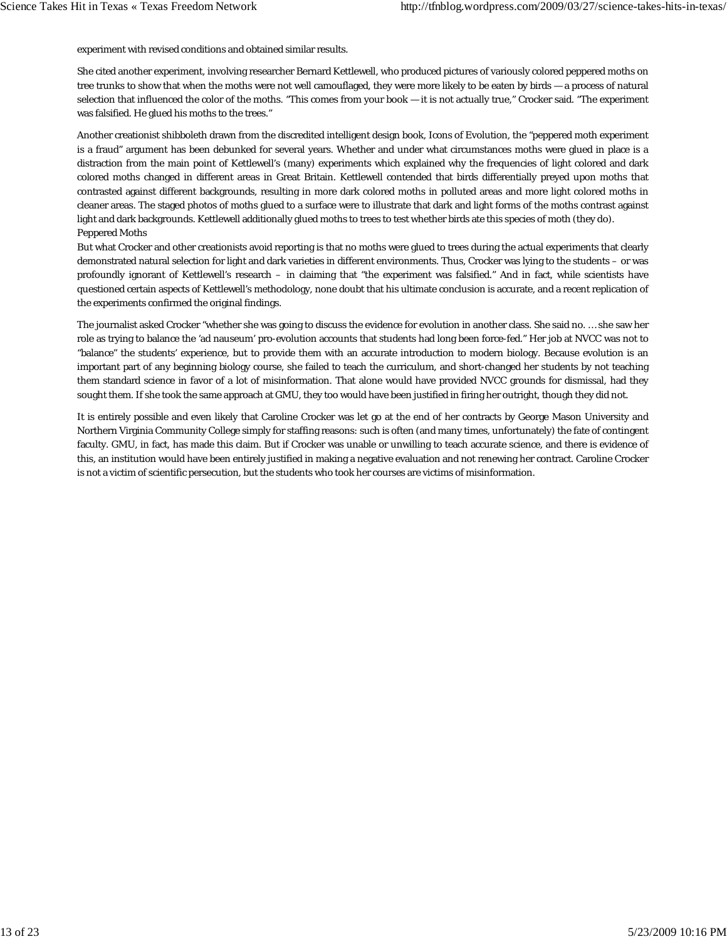experiment with revised conditions and obtained similar results.

She cited another experiment, involving researcher Bernard Kettlewell, who produced pictures of variously colored peppered moths on tree trunks to show that when the moths were not well camouflaged, they were more likely to be eaten by birds — a process of natural selection that influenced the color of the moths. "This comes from your book — it is not actually true," Crocker said. "The experiment was falsified. He glued his moths to the trees."

Another creationist shibboleth drawn from the discredited intelligent design book, Icons of Evolution, the "peppered moth experiment is a fraud" argument has been debunked for several years. Whether and under what circumstances moths were glued in place is a distraction from the main point of Kettlewell's (many) experiments which explained why the frequencies of light colored and dark colored moths changed in different areas in Great Britain. Kettlewell contended that birds differentially preyed upon moths that contrasted against different backgrounds, resulting in more dark colored moths in polluted areas and more light colored moths in cleaner areas. The staged photos of moths glued to a surface were to illustrate that dark and light forms of the moths contrast against light and dark backgrounds. Kettlewell additionally glued moths to trees to test whether birds ate this species of moth (they do). Peppered Moths

But what Crocker and other creationists avoid reporting is that no moths were glued to trees during the actual experiments that clearly demonstrated natural selection for light and dark varieties in different environments. Thus, Crocker was lying to the students – or was profoundly ignorant of Kettlewell's research – in claiming that "the experiment was falsified." And in fact, while scientists have questioned certain aspects of Kettlewell's methodology, none doubt that his ultimate conclusion is accurate, and a recent replication of the experiments confirmed the original findings.

The journalist asked Crocker "whether she was going to discuss the evidence for evolution in another class. She said no. … she saw her role as trying to balance the 'ad nauseum' pro-evolution accounts that students had long been force-fed." Her job at NVCC was not to "balance" the students' experience, but to provide them with an accurate introduction to modern biology. Because evolution is an important part of any beginning biology course, she failed to teach the curriculum, and short-changed her students by not teaching them standard science in favor of a lot of misinformation. That alone would have provided NVCC grounds for dismissal, had they sought them. If she took the same approach at GMU, they too would have been justified in firing her outright, though they did not.

It is entirely possible and even likely that Caroline Crocker was let go at the end of her contracts by George Mason University and Northern Virginia Community College simply for staffing reasons: such is often (and many times, unfortunately) the fate of contingent faculty. GMU, in fact, has made this claim. But if Crocker was unable or unwilling to teach accurate science, and there is evidence of this, an institution would have been entirely justified in making a negative evaluation and not renewing her contract. Caroline Crocker is not a victim of scientific persecution, but the students who took her courses are victims of misinformation.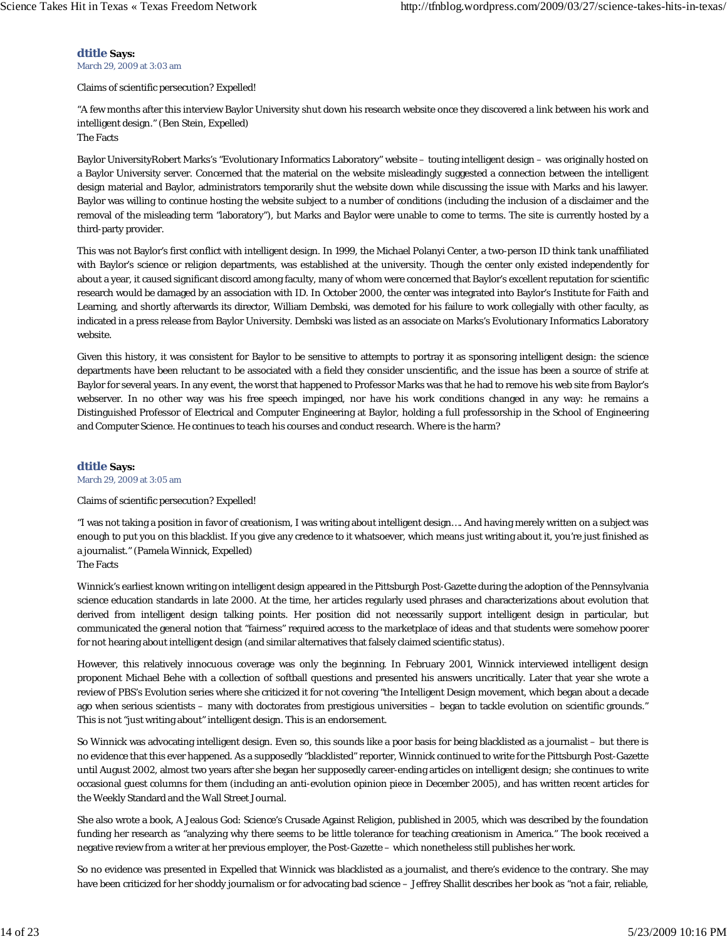**dtitle Says:**

March 29, 2009 at 3:03 am

Claims of scientific persecution? Expelled!

"A few months after this interview Baylor University shut down his research website once they discovered a link between his work and intelligent design." (Ben Stein, Expelled)

The Facts

Baylor UniversityRobert Marks's "Evolutionary Informatics Laboratory" website – touting intelligent design – was originally hosted on a Baylor University server. Concerned that the material on the website misleadingly suggested a connection between the intelligent design material and Baylor, administrators temporarily shut the website down while discussing the issue with Marks and his lawyer. Baylor was willing to continue hosting the website subject to a number of conditions (including the inclusion of a disclaimer and the removal of the misleading term "laboratory"), but Marks and Baylor were unable to come to terms. The site is currently hosted by a third-party provider.

This was not Baylor's first conflict with intelligent design. In 1999, the Michael Polanyi Center, a two-person ID think tank unaffiliated with Baylor's science or religion departments, was established at the university. Though the center only existed independently for about a year, it caused significant discord among faculty, many of whom were concerned that Baylor's excellent reputation for scientific research would be damaged by an association with ID. In October 2000, the center was integrated into Baylor's Institute for Faith and Learning, and shortly afterwards its director, William Dembski, was demoted for his failure to work collegially with other faculty, as indicated in a press release from Baylor University. Dembski was listed as an associate on Marks's Evolutionary Informatics Laboratory website.

Given this history, it was consistent for Baylor to be sensitive to attempts to portray it as sponsoring intelligent design: the science departments have been reluctant to be associated with a field they consider unscientific, and the issue has been a source of strife at Baylor for several years. In any event, the worst that happened to Professor Marks was that he had to remove his web site from Baylor's webserver. In no other way was his free speech impinged, nor have his work conditions changed in any way: he remains a Distinguished Professor of Electrical and Computer Engineering at Baylor, holding a full professorship in the School of Engineering and Computer Science. He continues to teach his courses and conduct research. Where is the harm?

## **dtitle Says:**

March 29, 2009 at 3:05 am

#### Claims of scientific persecution? Expelled!

"I was not taking a position in favor of creationism, I was writing about intelligent design…. And having merely written on a subject was enough to put you on this blacklist. If you give any credence to it whatsoever, which means just writing about it, you're just finished as a journalist." (Pamela Winnick, Expelled)

The Facts

Winnick's earliest known writing on intelligent design appeared in the Pittsburgh Post-Gazette during the adoption of the Pennsylvania science education standards in late 2000. At the time, her articles regularly used phrases and characterizations about evolution that derived from intelligent design talking points. Her position did not necessarily support intelligent design in particular, but communicated the general notion that "fairness" required access to the marketplace of ideas and that students were somehow poorer for not hearing about intelligent design (and similar alternatives that falsely claimed scientific status).

However, this relatively innocuous coverage was only the beginning. In February 2001, Winnick interviewed intelligent design proponent Michael Behe with a collection of softball questions and presented his answers uncritically. Later that year she wrote a review of PBS's Evolution series where she criticized it for not covering "the Intelligent Design movement, which began about a decade ago when serious scientists – many with doctorates from prestigious universities – began to tackle evolution on scientific grounds." This is not "just writing about" intelligent design. This is an endorsement.

So Winnick was advocating intelligent design. Even so, this sounds like a poor basis for being blacklisted as a journalist – but there is no evidence that this ever happened. As a supposedly "blacklisted" reporter, Winnick continued to write for the Pittsburgh Post-Gazette until August 2002, almost two years after she began her supposedly career-ending articles on intelligent design; she continues to write occasional guest columns for them (including an anti-evolution opinion piece in December 2005), and has written recent articles for the Weekly Standard and the Wall Street Journal.

She also wrote a book, A Jealous God: Science's Crusade Against Religion, published in 2005, which was described by the foundation funding her research as "analyzing why there seems to be little tolerance for teaching creationism in America." The book received a negative review from a writer at her previous employer, the Post-Gazette – which nonetheless still publishes her work.

So no evidence was presented in Expelled that Winnick was blacklisted as a journalist, and there's evidence to the contrary. She may have been criticized for her shoddy journalism or for advocating bad science – Jeffrey Shallit describes her book as "not a fair, reliable,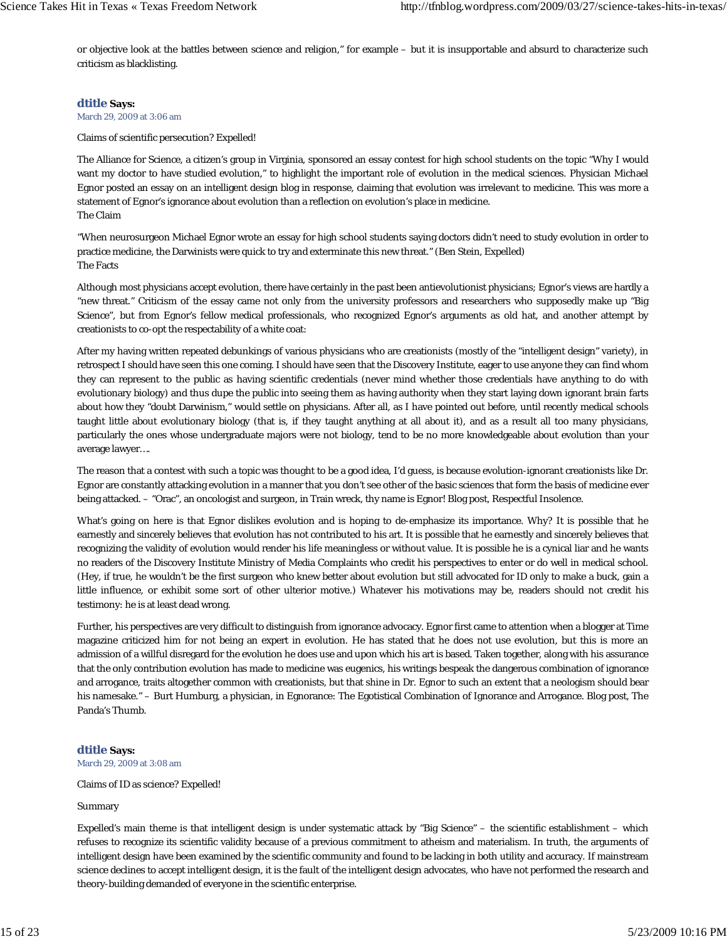or objective look at the battles between science and religion," for example – but it is insupportable and absurd to characterize such criticism as blacklisting.

## **dtitle Says:**

March 29, 2009 at 3:06 am

Claims of scientific persecution? Expelled!

The Alliance for Science, a citizen's group in Virginia, sponsored an essay contest for high school students on the topic "Why I would want my doctor to have studied evolution," to highlight the important role of evolution in the medical sciences. Physician Michael Egnor posted an essay on an intelligent design blog in response, claiming that evolution was irrelevant to medicine. This was more a statement of Egnor's ignorance about evolution than a reflection on evolution's place in medicine. The Claim

"When neurosurgeon Michael Egnor wrote an essay for high school students saying doctors didn't need to study evolution in order to practice medicine, the Darwinists were quick to try and exterminate this new threat." (Ben Stein, Expelled) The Facts

Although most physicians accept evolution, there have certainly in the past been antievolutionist physicians; Egnor's views are hardly a "new threat." Criticism of the essay came not only from the university professors and researchers who supposedly make up "Big Science", but from Egnor's fellow medical professionals, who recognized Egnor's arguments as old hat, and another attempt by creationists to co-opt the respectability of a white coat:

After my having written repeated debunkings of various physicians who are creationists (mostly of the "intelligent design" variety), in retrospect I should have seen this one coming. I should have seen that the Discovery Institute, eager to use anyone they can find whom they can represent to the public as having scientific credentials (never mind whether those credentials have anything to do with evolutionary biology) and thus dupe the public into seeing them as having authority when they start laying down ignorant brain farts about how they "doubt Darwinism," would settle on physicians. After all, as I have pointed out before, until recently medical schools taught little about evolutionary biology (that is, if they taught anything at all about it), and as a result all too many physicians, particularly the ones whose undergraduate majors were not biology, tend to be no more knowledgeable about evolution than your average lawyer….

The reason that a contest with such a topic was thought to be a good idea, I'd guess, is because evolution-ignorant creationists like Dr. Egnor are constantly attacking evolution in a manner that you don't see other of the basic sciences that form the basis of medicine ever being attacked. – "Orac", an oncologist and surgeon, in Train wreck, thy name is Egnor! Blog post, Respectful Insolence.

What's going on here is that Egnor dislikes evolution and is hoping to de-emphasize its importance. Why? It is possible that he earnestly and sincerely believes that evolution has not contributed to his art. It is possible that he earnestly and sincerely believes that recognizing the validity of evolution would render his life meaningless or without value. It is possible he is a cynical liar and he wants no readers of the Discovery Institute Ministry of Media Complaints who credit his perspectives to enter or do well in medical school. (Hey, if true, he wouldn't be the first surgeon who knew better about evolution but still advocated for ID only to make a buck, gain a little influence, or exhibit some sort of other ulterior motive.) Whatever his motivations may be, readers should not credit his testimony: he is at least dead wrong.

Further, his perspectives are very difficult to distinguish from ignorance advocacy. Egnor first came to attention when a blogger at Time magazine criticized him for not being an expert in evolution. He has stated that he does not use evolution, but this is more an admission of a willful disregard for the evolution he does use and upon which his art is based. Taken together, along with his assurance that the only contribution evolution has made to medicine was eugenics, his writings bespeak the dangerous combination of ignorance and arrogance, traits altogether common with creationists, but that shine in Dr. Egnor to such an extent that a neologism should bear his namesake." – Burt Humburg, a physician, in Egnorance: The Egotistical Combination of Ignorance and Arrogance. Blog post, The Panda's Thumb.

## **dtitle Says:**

March 29, 2009 at 3:08 am

Claims of ID as science? Expelled!

#### Summary

Expelled's main theme is that intelligent design is under systematic attack by "Big Science" – the scientific establishment – which refuses to recognize its scientific validity because of a previous commitment to atheism and materialism. In truth, the arguments of intelligent design have been examined by the scientific community and found to be lacking in both utility and accuracy. If mainstream science declines to accept intelligent design, it is the fault of the intelligent design advocates, who have not performed the research and theory-building demanded of everyone in the scientific enterprise.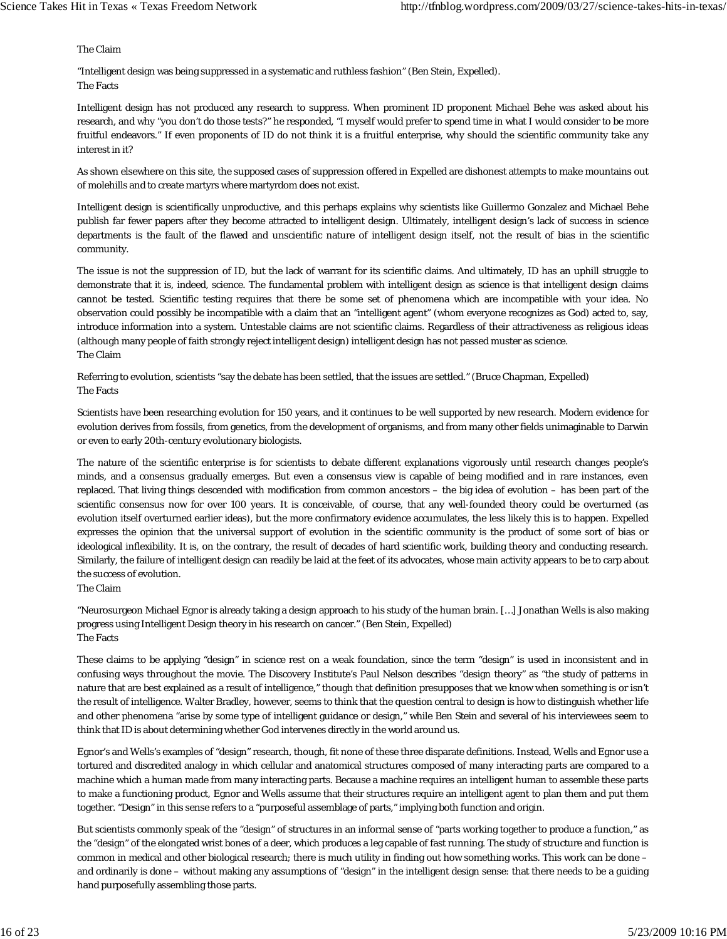The Claim

"Intelligent design was being suppressed in a systematic and ruthless fashion" (Ben Stein, Expelled). The Facts

Intelligent design has not produced any research to suppress. When prominent ID proponent Michael Behe was asked about his research, and why "you don't do those tests?" he responded, "I myself would prefer to spend time in what I would consider to be more fruitful endeavors." If even proponents of ID do not think it is a fruitful enterprise, why should the scientific community take any interest in it?

As shown elsewhere on this site, the supposed cases of suppression offered in Expelled are dishonest attempts to make mountains out of molehills and to create martyrs where martyrdom does not exist.

Intelligent design is scientifically unproductive, and this perhaps explains why scientists like Guillermo Gonzalez and Michael Behe publish far fewer papers after they become attracted to intelligent design. Ultimately, intelligent design's lack of success in science departments is the fault of the flawed and unscientific nature of intelligent design itself, not the result of bias in the scientific community.

The issue is not the suppression of ID, but the lack of warrant for its scientific claims. And ultimately, ID has an uphill struggle to demonstrate that it is, indeed, science. The fundamental problem with intelligent design as science is that intelligent design claims cannot be tested. Scientific testing requires that there be some set of phenomena which are incompatible with your idea. No observation could possibly be incompatible with a claim that an "intelligent agent" (whom everyone recognizes as God) acted to, say, introduce information into a system. Untestable claims are not scientific claims. Regardless of their attractiveness as religious ideas (although many people of faith strongly reject intelligent design) intelligent design has not passed muster as science. The Claim

Referring to evolution, scientists "say the debate has been settled, that the issues are settled." (Bruce Chapman, Expelled) The Facts

Scientists have been researching evolution for 150 years, and it continues to be well supported by new research. Modern evidence for evolution derives from fossils, from genetics, from the development of organisms, and from many other fields unimaginable to Darwin or even to early 20th-century evolutionary biologists.

The nature of the scientific enterprise is for scientists to debate different explanations vigorously until research changes people's minds, and a consensus gradually emerges. But even a consensus view is capable of being modified and in rare instances, even replaced. That living things descended with modification from common ancestors – the big idea of evolution – has been part of the scientific consensus now for over 100 years. It is conceivable, of course, that any well-founded theory could be overturned (as evolution itself overturned earlier ideas), but the more confirmatory evidence accumulates, the less likely this is to happen. Expelled expresses the opinion that the universal support of evolution in the scientific community is the product of some sort of bias or ideological inflexibility. It is, on the contrary, the result of decades of hard scientific work, building theory and conducting research. Similarly, the failure of intelligent design can readily be laid at the feet of its advocates, whose main activity appears to be to carp about the success of evolution.

The Claim

"Neurosurgeon Michael Egnor is already taking a design approach to his study of the human brain. […] Jonathan Wells is also making progress using Intelligent Design theory in his research on cancer." (Ben Stein, Expelled) The Facts

These claims to be applying "design" in science rest on a weak foundation, since the term "design" is used in inconsistent and in confusing ways throughout the movie. The Discovery Institute's Paul Nelson describes "design theory" as "the study of patterns in nature that are best explained as a result of intelligence," though that definition presupposes that we know when something is or isn't the result of intelligence. Walter Bradley, however, seems to think that the question central to design is how to distinguish whether life and other phenomena "arise by some type of intelligent guidance or design," while Ben Stein and several of his interviewees seem to think that ID is about determining whether God intervenes directly in the world around us.

Egnor's and Wells's examples of "design" research, though, fit none of these three disparate definitions. Instead, Wells and Egnor use a tortured and discredited analogy in which cellular and anatomical structures composed of many interacting parts are compared to a machine which a human made from many interacting parts. Because a machine requires an intelligent human to assemble these parts to make a functioning product, Egnor and Wells assume that their structures require an intelligent agent to plan them and put them together. "Design" in this sense refers to a "purposeful assemblage of parts," implying both function and origin.

But scientists commonly speak of the "design" of structures in an informal sense of "parts working together to produce a function," as the "design" of the elongated wrist bones of a deer, which produces a leg capable of fast running. The study of structure and function is common in medical and other biological research; there is much utility in finding out how something works. This work can be done – and ordinarily is done – without making any assumptions of "design" in the intelligent design sense: that there needs to be a guiding hand purposefully assembling those parts.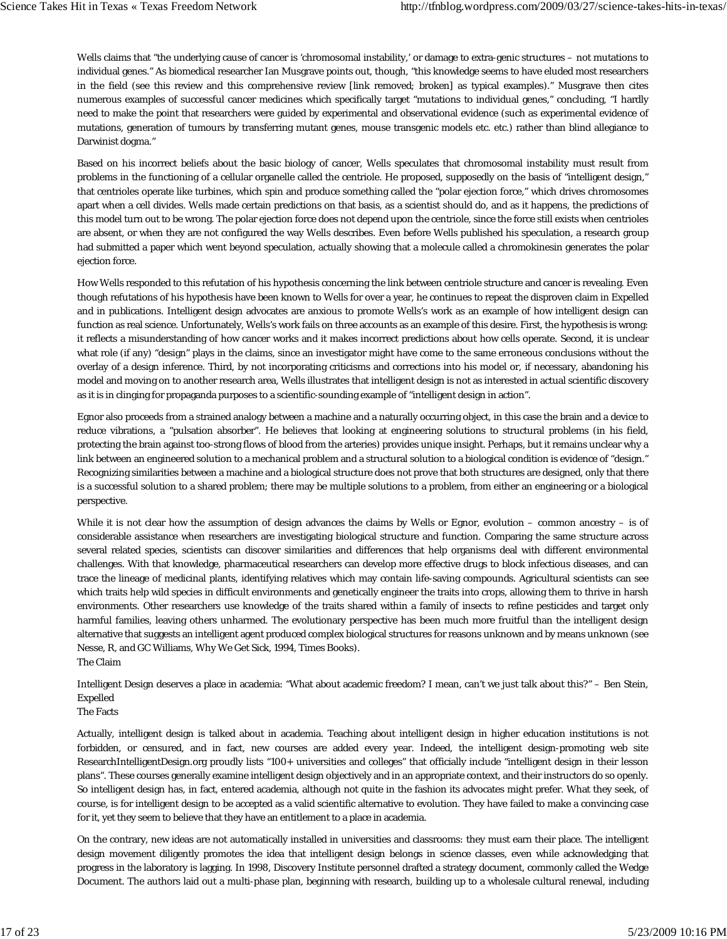Wells claims that "the underlying cause of cancer is 'chromosomal instability,' or damage to extra-genic structures – not mutations to individual genes." As biomedical researcher Ian Musgrave points out, though, "this knowledge seems to have eluded most researchers in the field (see this review and this comprehensive review [link removed; broken] as typical examples)." Musgrave then cites numerous examples of successful cancer medicines which specifically target "mutations to individual genes," concluding, "I hardly need to make the point that researchers were guided by experimental and observational evidence (such as experimental evidence of mutations, generation of tumours by transferring mutant genes, mouse transgenic models etc. etc.) rather than blind allegiance to Darwinist dogma."

Based on his incorrect beliefs about the basic biology of cancer, Wells speculates that chromosomal instability must result from problems in the functioning of a cellular organelle called the centriole. He proposed, supposedly on the basis of "intelligent design," that centrioles operate like turbines, which spin and produce something called the "polar ejection force," which drives chromosomes apart when a cell divides. Wells made certain predictions on that basis, as a scientist should do, and as it happens, the predictions of this model turn out to be wrong. The polar ejection force does not depend upon the centriole, since the force still exists when centrioles are absent, or when they are not configured the way Wells describes. Even before Wells published his speculation, a research group had submitted a paper which went beyond speculation, actually showing that a molecule called a chromokinesin generates the polar ejection force.

How Wells responded to this refutation of his hypothesis concerning the link between centriole structure and cancer is revealing. Even though refutations of his hypothesis have been known to Wells for over a year, he continues to repeat the disproven claim in Expelled and in publications. Intelligent design advocates are anxious to promote Wells's work as an example of how intelligent design can function as real science. Unfortunately, Wells's work fails on three accounts as an example of this desire. First, the hypothesis is wrong: it reflects a misunderstanding of how cancer works and it makes incorrect predictions about how cells operate. Second, it is unclear what role (if any) "design" plays in the claims, since an investigator might have come to the same erroneous conclusions without the overlay of a design inference. Third, by not incorporating criticisms and corrections into his model or, if necessary, abandoning his model and moving on to another research area, Wells illustrates that intelligent design is not as interested in actual scientific discovery as it is in clinging for propaganda purposes to a scientific-sounding example of "intelligent design in action".

Egnor also proceeds from a strained analogy between a machine and a naturally occurring object, in this case the brain and a device to reduce vibrations, a "pulsation absorber". He believes that looking at engineering solutions to structural problems (in his field, protecting the brain against too-strong flows of blood from the arteries) provides unique insight. Perhaps, but it remains unclear why a link between an engineered solution to a mechanical problem and a structural solution to a biological condition is evidence of "design." Recognizing similarities between a machine and a biological structure does not prove that both structures are designed, only that there is a successful solution to a shared problem; there may be multiple solutions to a problem, from either an engineering or a biological perspective.

While it is not clear how the assumption of design advances the claims by Wells or Egnor, evolution – common ancestry – is of considerable assistance when researchers are investigating biological structure and function. Comparing the same structure across several related species, scientists can discover similarities and differences that help organisms deal with different environmental challenges. With that knowledge, pharmaceutical researchers can develop more effective drugs to block infectious diseases, and can trace the lineage of medicinal plants, identifying relatives which may contain life-saving compounds. Agricultural scientists can see which traits help wild species in difficult environments and genetically engineer the traits into crops, allowing them to thrive in harsh environments. Other researchers use knowledge of the traits shared within a family of insects to refine pesticides and target only harmful families, leaving others unharmed. The evolutionary perspective has been much more fruitful than the intelligent design alternative that suggests an intelligent agent produced complex biological structures for reasons unknown and by means unknown (see Nesse, R, and GC Williams, Why We Get Sick, 1994, Times Books). The Claim

Intelligent Design deserves a place in academia: "What about academic freedom? I mean, can't we just talk about this?" – Ben Stein, Expelled

The Facts

Actually, intelligent design is talked about in academia. Teaching about intelligent design in higher education institutions is not forbidden, or censured, and in fact, new courses are added every year. Indeed, the intelligent design-promoting web site ResearchIntelligentDesign.org proudly lists "100+ universities and colleges" that officially include "intelligent design in their lesson plans". These courses generally examine intelligent design objectively and in an appropriate context, and their instructors do so openly. So intelligent design has, in fact, entered academia, although not quite in the fashion its advocates might prefer. What they seek, of course, is for intelligent design to be accepted as a valid scientific alternative to evolution. They have failed to make a convincing case for it, yet they seem to believe that they have an entitlement to a place in academia.

On the contrary, new ideas are not automatically installed in universities and classrooms: they must earn their place. The intelligent design movement diligently promotes the idea that intelligent design belongs in science classes, even while acknowledging that progress in the laboratory is lagging. In 1998, Discovery Institute personnel drafted a strategy document, commonly called the Wedge Document. The authors laid out a multi-phase plan, beginning with research, building up to a wholesale cultural renewal, including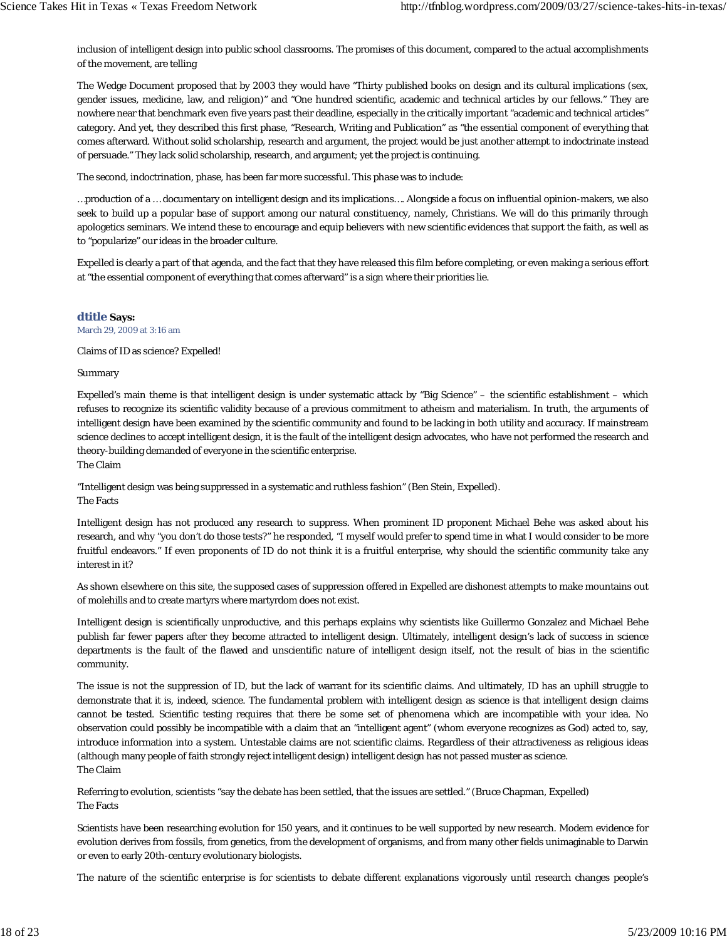inclusion of intelligent design into public school classrooms. The promises of this document, compared to the actual accomplishments of the movement, are telling

The Wedge Document proposed that by 2003 they would have "Thirty published books on design and its cultural implications (sex, gender issues, medicine, law, and religion)" and "One hundred scientific, academic and technical articles by our fellows." They are nowhere near that benchmark even five years past their deadline, especially in the critically important "academic and technical articles" category. And yet, they described this first phase, "Research, Writing and Publication" as "the essential component of everything that comes afterward. Without solid scholarship, research and argument, the project would be just another attempt to indoctrinate instead of persuade." They lack solid scholarship, research, and argument; yet the project is continuing.

The second, indoctrination, phase, has been far more successful. This phase was to include:

…production of a … documentary on intelligent design and its implications…. Alongside a focus on influential opinion-makers, we also seek to build up a popular base of support among our natural constituency, namely, Christians. We will do this primarily through apologetics seminars. We intend these to encourage and equip believers with new scientific evidences that support the faith, as well as to "popularize" our ideas in the broader culture.

Expelled is clearly a part of that agenda, and the fact that they have released this film before completing, or even making a serious effort at "the essential component of everything that comes afterward" is a sign where their priorities lie.

**dtitle Says:** March 29, 2009 at 3:16 am

Claims of ID as science? Expelled!

Summary

Expelled's main theme is that intelligent design is under systematic attack by "Big Science" – the scientific establishment – which refuses to recognize its scientific validity because of a previous commitment to atheism and materialism. In truth, the arguments of intelligent design have been examined by the scientific community and found to be lacking in both utility and accuracy. If mainstream science declines to accept intelligent design, it is the fault of the intelligent design advocates, who have not performed the research and theory-building demanded of everyone in the scientific enterprise. The Claim

"Intelligent design was being suppressed in a systematic and ruthless fashion" (Ben Stein, Expelled). The Facts

Intelligent design has not produced any research to suppress. When prominent ID proponent Michael Behe was asked about his research, and why "you don't do those tests?" he responded, "I myself would prefer to spend time in what I would consider to be more fruitful endeavors." If even proponents of ID do not think it is a fruitful enterprise, why should the scientific community take any interest in it?

As shown elsewhere on this site, the supposed cases of suppression offered in Expelled are dishonest attempts to make mountains out of molehills and to create martyrs where martyrdom does not exist.

Intelligent design is scientifically unproductive, and this perhaps explains why scientists like Guillermo Gonzalez and Michael Behe publish far fewer papers after they become attracted to intelligent design. Ultimately, intelligent design's lack of success in science departments is the fault of the flawed and unscientific nature of intelligent design itself, not the result of bias in the scientific community.

The issue is not the suppression of ID, but the lack of warrant for its scientific claims. And ultimately, ID has an uphill struggle to demonstrate that it is, indeed, science. The fundamental problem with intelligent design as science is that intelligent design claims cannot be tested. Scientific testing requires that there be some set of phenomena which are incompatible with your idea. No observation could possibly be incompatible with a claim that an "intelligent agent" (whom everyone recognizes as God) acted to, say, introduce information into a system. Untestable claims are not scientific claims. Regardless of their attractiveness as religious ideas (although many people of faith strongly reject intelligent design) intelligent design has not passed muster as science. The Claim

Referring to evolution, scientists "say the debate has been settled, that the issues are settled." (Bruce Chapman, Expelled) The Facts

Scientists have been researching evolution for 150 years, and it continues to be well supported by new research. Modern evidence for evolution derives from fossils, from genetics, from the development of organisms, and from many other fields unimaginable to Darwin or even to early 20th-century evolutionary biologists.

The nature of the scientific enterprise is for scientists to debate different explanations vigorously until research changes people's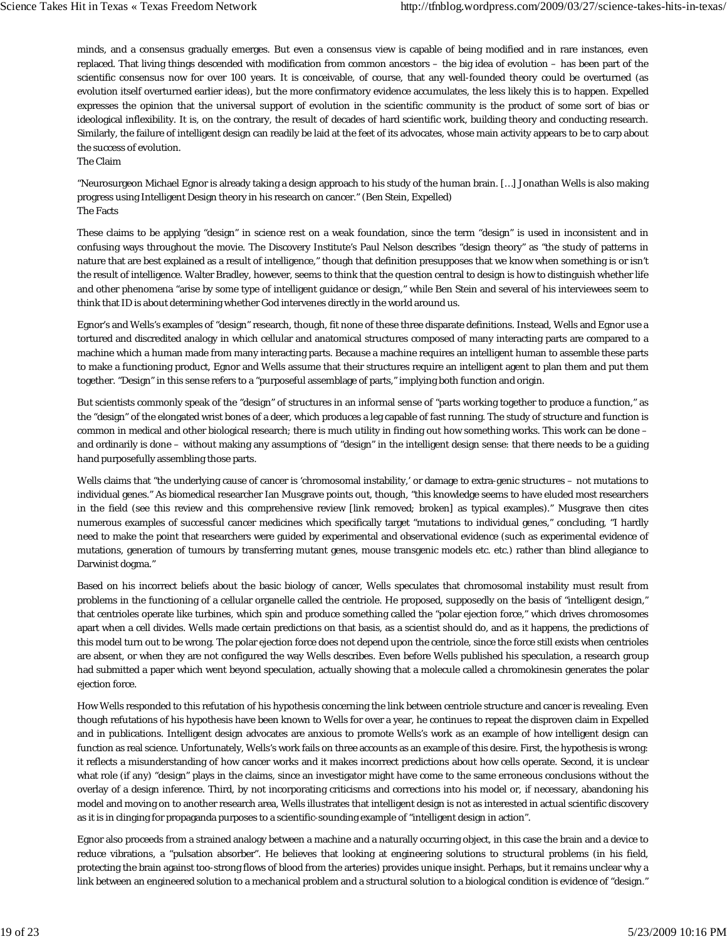minds, and a consensus gradually emerges. But even a consensus view is capable of being modified and in rare instances, even replaced. That living things descended with modification from common ancestors – the big idea of evolution – has been part of the scientific consensus now for over 100 years. It is conceivable, of course, that any well-founded theory could be overturned (as evolution itself overturned earlier ideas), but the more confirmatory evidence accumulates, the less likely this is to happen. Expelled expresses the opinion that the universal support of evolution in the scientific community is the product of some sort of bias or ideological inflexibility. It is, on the contrary, the result of decades of hard scientific work, building theory and conducting research. Similarly, the failure of intelligent design can readily be laid at the feet of its advocates, whose main activity appears to be to carp about the success of evolution.

The Claim

"Neurosurgeon Michael Egnor is already taking a design approach to his study of the human brain. […] Jonathan Wells is also making progress using Intelligent Design theory in his research on cancer." (Ben Stein, Expelled) The Facts

These claims to be applying "design" in science rest on a weak foundation, since the term "design" is used in inconsistent and in confusing ways throughout the movie. The Discovery Institute's Paul Nelson describes "design theory" as "the study of patterns in nature that are best explained as a result of intelligence," though that definition presupposes that we know when something is or isn't the result of intelligence. Walter Bradley, however, seems to think that the question central to design is how to distinguish whether life and other phenomena "arise by some type of intelligent guidance or design," while Ben Stein and several of his interviewees seem to think that ID is about determining whether God intervenes directly in the world around us.

Egnor's and Wells's examples of "design" research, though, fit none of these three disparate definitions. Instead, Wells and Egnor use a tortured and discredited analogy in which cellular and anatomical structures composed of many interacting parts are compared to a machine which a human made from many interacting parts. Because a machine requires an intelligent human to assemble these parts to make a functioning product, Egnor and Wells assume that their structures require an intelligent agent to plan them and put them together. "Design" in this sense refers to a "purposeful assemblage of parts," implying both function and origin.

But scientists commonly speak of the "design" of structures in an informal sense of "parts working together to produce a function," as the "design" of the elongated wrist bones of a deer, which produces a leg capable of fast running. The study of structure and function is common in medical and other biological research; there is much utility in finding out how something works. This work can be done – and ordinarily is done – without making any assumptions of "design" in the intelligent design sense: that there needs to be a guiding hand purposefully assembling those parts.

Wells claims that "the underlying cause of cancer is 'chromosomal instability,' or damage to extra-genic structures – not mutations to individual genes." As biomedical researcher Ian Musgrave points out, though, "this knowledge seems to have eluded most researchers in the field (see this review and this comprehensive review [link removed; broken] as typical examples)." Musgrave then cites numerous examples of successful cancer medicines which specifically target "mutations to individual genes," concluding, "I hardly need to make the point that researchers were guided by experimental and observational evidence (such as experimental evidence of mutations, generation of tumours by transferring mutant genes, mouse transgenic models etc. etc.) rather than blind allegiance to Darwinist dogma."

Based on his incorrect beliefs about the basic biology of cancer, Wells speculates that chromosomal instability must result from problems in the functioning of a cellular organelle called the centriole. He proposed, supposedly on the basis of "intelligent design," that centrioles operate like turbines, which spin and produce something called the "polar ejection force," which drives chromosomes apart when a cell divides. Wells made certain predictions on that basis, as a scientist should do, and as it happens, the predictions of this model turn out to be wrong. The polar ejection force does not depend upon the centriole, since the force still exists when centrioles are absent, or when they are not configured the way Wells describes. Even before Wells published his speculation, a research group had submitted a paper which went beyond speculation, actually showing that a molecule called a chromokinesin generates the polar ejection force.

How Wells responded to this refutation of his hypothesis concerning the link between centriole structure and cancer is revealing. Even though refutations of his hypothesis have been known to Wells for over a year, he continues to repeat the disproven claim in Expelled and in publications. Intelligent design advocates are anxious to promote Wells's work as an example of how intelligent design can function as real science. Unfortunately, Wells's work fails on three accounts as an example of this desire. First, the hypothesis is wrong: it reflects a misunderstanding of how cancer works and it makes incorrect predictions about how cells operate. Second, it is unclear what role (if any) "design" plays in the claims, since an investigator might have come to the same erroneous conclusions without the overlay of a design inference. Third, by not incorporating criticisms and corrections into his model or, if necessary, abandoning his model and moving on to another research area, Wells illustrates that intelligent design is not as interested in actual scientific discovery as it is in clinging for propaganda purposes to a scientific-sounding example of "intelligent design in action".

Egnor also proceeds from a strained analogy between a machine and a naturally occurring object, in this case the brain and a device to reduce vibrations, a "pulsation absorber". He believes that looking at engineering solutions to structural problems (in his field, protecting the brain against too-strong flows of blood from the arteries) provides unique insight. Perhaps, but it remains unclear why a link between an engineered solution to a mechanical problem and a structural solution to a biological condition is evidence of "design."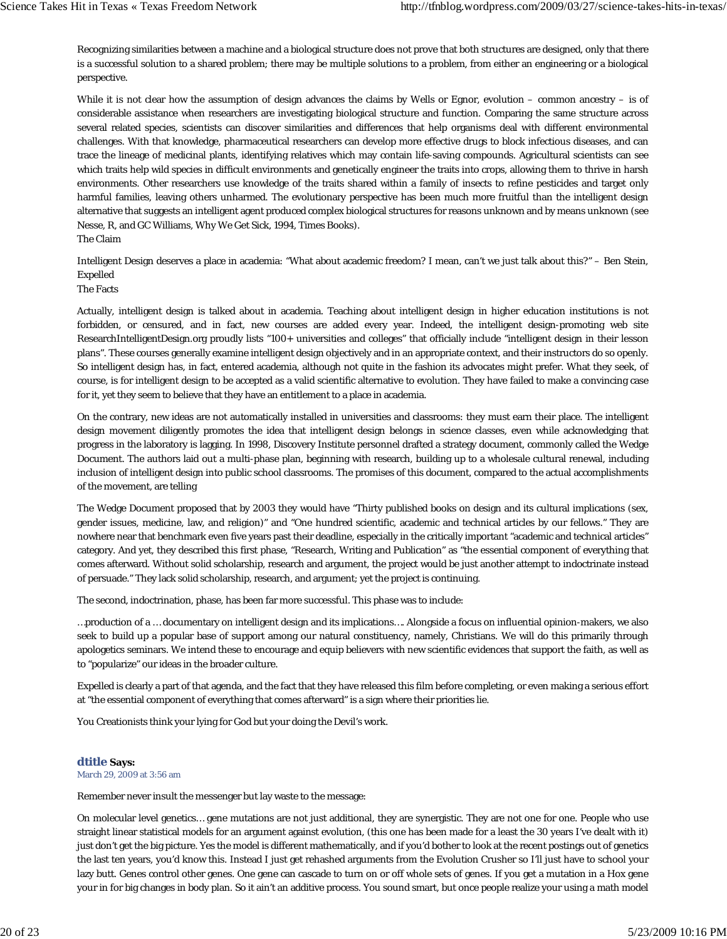Recognizing similarities between a machine and a biological structure does not prove that both structures are designed, only that there is a successful solution to a shared problem; there may be multiple solutions to a problem, from either an engineering or a biological perspective.

While it is not clear how the assumption of design advances the claims by Wells or Egnor, evolution – common ancestry – is of considerable assistance when researchers are investigating biological structure and function. Comparing the same structure across several related species, scientists can discover similarities and differences that help organisms deal with different environmental challenges. With that knowledge, pharmaceutical researchers can develop more effective drugs to block infectious diseases, and can trace the lineage of medicinal plants, identifying relatives which may contain life-saving compounds. Agricultural scientists can see which traits help wild species in difficult environments and genetically engineer the traits into crops, allowing them to thrive in harsh environments. Other researchers use knowledge of the traits shared within a family of insects to refine pesticides and target only harmful families, leaving others unharmed. The evolutionary perspective has been much more fruitful than the intelligent design alternative that suggests an intelligent agent produced complex biological structures for reasons unknown and by means unknown (see Nesse, R, and GC Williams, Why We Get Sick, 1994, Times Books).

The Claim

Intelligent Design deserves a place in academia: "What about academic freedom? I mean, can't we just talk about this?" – Ben Stein, Expelled

#### The Facts

Actually, intelligent design is talked about in academia. Teaching about intelligent design in higher education institutions is not forbidden, or censured, and in fact, new courses are added every year. Indeed, the intelligent design-promoting web site ResearchIntelligentDesign.org proudly lists "100+ universities and colleges" that officially include "intelligent design in their lesson plans". These courses generally examine intelligent design objectively and in an appropriate context, and their instructors do so openly. So intelligent design has, in fact, entered academia, although not quite in the fashion its advocates might prefer. What they seek, of course, is for intelligent design to be accepted as a valid scientific alternative to evolution. They have failed to make a convincing case for it, yet they seem to believe that they have an entitlement to a place in academia.

On the contrary, new ideas are not automatically installed in universities and classrooms: they must earn their place. The intelligent design movement diligently promotes the idea that intelligent design belongs in science classes, even while acknowledging that progress in the laboratory is lagging. In 1998, Discovery Institute personnel drafted a strategy document, commonly called the Wedge Document. The authors laid out a multi-phase plan, beginning with research, building up to a wholesale cultural renewal, including inclusion of intelligent design into public school classrooms. The promises of this document, compared to the actual accomplishments of the movement, are telling

The Wedge Document proposed that by 2003 they would have "Thirty published books on design and its cultural implications (sex, gender issues, medicine, law, and religion)" and "One hundred scientific, academic and technical articles by our fellows." They are nowhere near that benchmark even five years past their deadline, especially in the critically important "academic and technical articles" category. And yet, they described this first phase, "Research, Writing and Publication" as "the essential component of everything that comes afterward. Without solid scholarship, research and argument, the project would be just another attempt to indoctrinate instead of persuade." They lack solid scholarship, research, and argument; yet the project is continuing.

The second, indoctrination, phase, has been far more successful. This phase was to include:

…production of a … documentary on intelligent design and its implications…. Alongside a focus on influential opinion-makers, we also seek to build up a popular base of support among our natural constituency, namely, Christians. We will do this primarily through apologetics seminars. We intend these to encourage and equip believers with new scientific evidences that support the faith, as well as to "popularize" our ideas in the broader culture.

Expelled is clearly a part of that agenda, and the fact that they have released this film before completing, or even making a serious effort at "the essential component of everything that comes afterward" is a sign where their priorities lie.

You Creationists think your lying for God but your doing the Devil's work.

#### **dtitle Says:**

March 29, 2009 at 3:56 am

Remember never insult the messenger but lay waste to the message:

On molecular level genetics… gene mutations are not just additional, they are synergistic. They are not one for one. People who use straight linear statistical models for an argument against evolution, (this one has been made for a least the 30 years I've dealt with it) just don't get the big picture. Yes the model is different mathematically, and if you'd bother to look at the recent postings out of genetics the last ten years, you'd know this. Instead I just get rehashed arguments from the Evolution Crusher so I'll just have to school your lazy butt. Genes control other genes. One gene can cascade to turn on or off whole sets of genes. If you get a mutation in a Hox gene your in for big changes in body plan. So it ain't an additive process. You sound smart, but once people realize your using a math model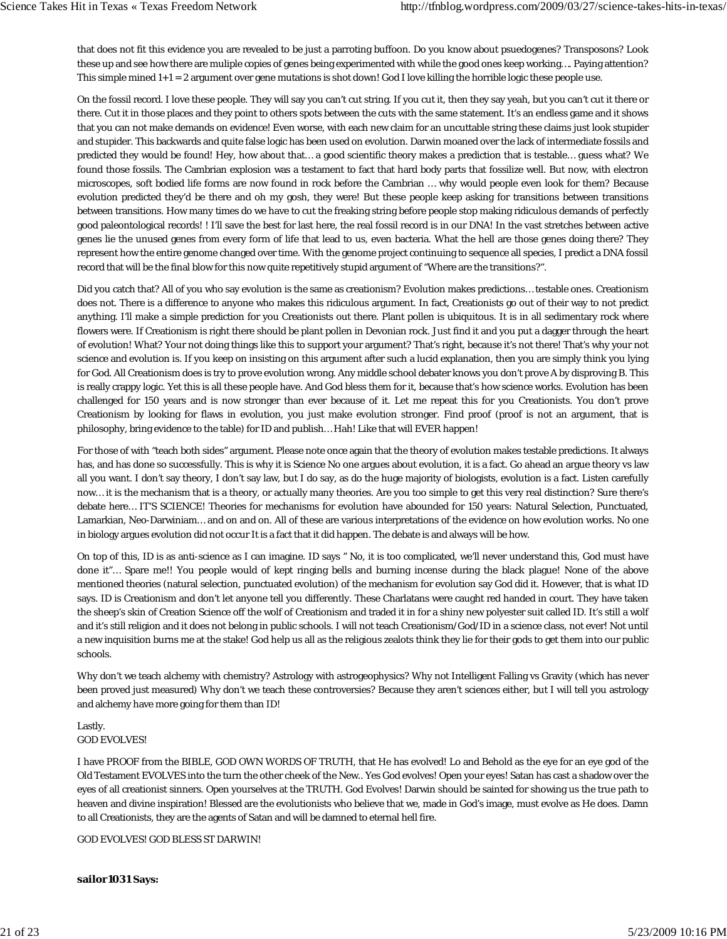that does not fit this evidence you are revealed to be just a parroting buffoon. Do you know about psuedogenes? Transposons? Look these up and see how there are muliple copies of genes being experimented with while the good ones keep working…. Paying attention? This simple mined  $1+1 = 2$  argument over gene mutations is shot down! God I love killing the horrible logic these people use.

On the fossil record. I love these people. They will say you can't cut string. If you cut it, then they say yeah, but you can't cut it there or there. Cut it in those places and they point to others spots between the cuts with the same statement. It's an endless game and it shows that you can not make demands on evidence! Even worse, with each new claim for an uncuttable string these claims just look stupider and stupider. This backwards and quite false logic has been used on evolution. Darwin moaned over the lack of intermediate fossils and predicted they would be found! Hey, how about that… a good scientific theory makes a prediction that is testable… guess what? We found those fossils. The Cambrian explosion was a testament to fact that hard body parts that fossilize well. But now, with electron microscopes, soft bodied life forms are now found in rock before the Cambrian … why would people even look for them? Because evolution predicted they'd be there and oh my gosh, they were! But these people keep asking for transitions between transitions between transitions. How many times do we have to cut the freaking string before people stop making ridiculous demands of perfectly good paleontological records! ! I'll save the best for last here, the real fossil record is in our DNA! In the vast stretches between active genes lie the unused genes from every form of life that lead to us, even bacteria. What the hell are those genes doing there? They represent how the entire genome changed over time. With the genome project continuing to sequence all species, I predict a DNA fossil record that will be the final blow for this now quite repetitively stupid argument of "Where are the transitions?".

Did you catch that? All of you who say evolution is the same as creationism? Evolution makes predictions… testable ones. Creationism does not. There is a difference to anyone who makes this ridiculous argument. In fact, Creationists go out of their way to not predict anything. I'll make a simple prediction for you Creationists out there. Plant pollen is ubiquitous. It is in all sedimentary rock where flowers were. If Creationism is right there should be plant pollen in Devonian rock. Just find it and you put a dagger through the heart of evolution! What? Your not doing things like this to support your argument? That's right, because it's not there! That's why your not science and evolution is. If you keep on insisting on this argument after such a lucid explanation, then you are simply think you lying for God. All Creationism does is try to prove evolution wrong. Any middle school debater knows you don't prove A by disproving B. This is really crappy logic. Yet this is all these people have. And God bless them for it, because that's how science works. Evolution has been challenged for 150 years and is now stronger than ever because of it. Let me repeat this for you Creationists. You don't prove Creationism by looking for flaws in evolution, you just make evolution stronger. Find proof (proof is not an argument, that is philosophy, bring evidence to the table) for ID and publish… Hah! Like that will EVER happen!

For those of with "teach both sides" argument. Please note once again that the theory of evolution makes testable predictions. It always has, and has done so successfully. This is why it is Science No one argues about evolution, it is a fact. Go ahead an argue theory vs law all you want. I don't say theory, I don't say law, but I do say, as do the huge majority of biologists, evolution is a fact. Listen carefully now… it is the mechanism that is a theory, or actually many theories. Are you too simple to get this very real distinction? Sure there's debate here… IT'S SCIENCE! Theories for mechanisms for evolution have abounded for 150 years: Natural Selection, Punctuated, Lamarkian, Neo-Darwiniam… and on and on. All of these are various interpretations of the evidence on how evolution works. No one in biology argues evolution did not occur It is a fact that it did happen. The debate is and always will be how.

On top of this, ID is as anti-science as I can imagine. ID says " No, it is too complicated, we'll never understand this, God must have done it"… Spare me!! You people would of kept ringing bells and burning incense during the black plague! None of the above mentioned theories (natural selection, punctuated evolution) of the mechanism for evolution say God did it. However, that is what ID says. ID is Creationism and don't let anyone tell you differently. These Charlatans were caught red handed in court. They have taken the sheep's skin of Creation Science off the wolf of Creationism and traded it in for a shiny new polyester suit called ID. It's still a wolf and it's still religion and it does not belong in public schools. I will not teach Creationism/God/ID in a science class, not ever! Not until a new inquisition burns me at the stake! God help us all as the religious zealots think they lie for their gods to get them into our public schools.

Why don't we teach alchemy with chemistry? Astrology with astrogeophysics? Why not Intelligent Falling vs Gravity (which has never been proved just measured) Why don't we teach these controversies? Because they aren't sciences either, but I will tell you astrology and alchemy have more going for them than ID!

## Lastly. GOD EVOLVES!

I have PROOF from the BIBLE, GOD OWN WORDS OF TRUTH, that He has evolved! Lo and Behold as the eye for an eye god of the Old Testament EVOLVES into the turn the other cheek of the New.. Yes God evolves! Open your eyes! Satan has cast a shadow over the eyes of all creationist sinners. Open yourselves at the TRUTH. God Evolves! Darwin should be sainted for showing us the true path to heaven and divine inspiration! Blessed are the evolutionists who believe that we, made in God's image, must evolve as He does. Damn to all Creationists, they are the agents of Satan and will be damned to eternal hell fire.

GOD EVOLVES! GOD BLESS ST DARWIN!

#### **sailor1031 Says:**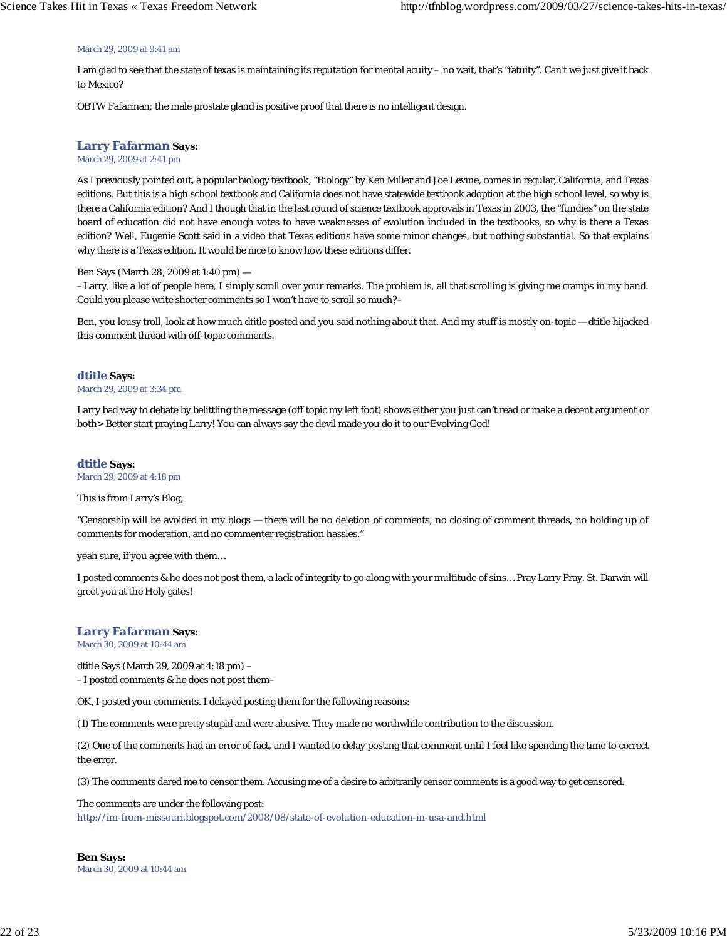#### March 29, 2009 at 9:41 am

I am glad to see that the state of texas is maintaining its reputation for mental acuity – no wait, that's "fatuity". Can't we just give it back to Mexico?

OBTW Fafarman; the male prostate gland is positive proof that there is no intelligent design.

#### **Larry Fafarman Says:**

March 29, 2009 at 2:41 pm

As I previously pointed out, a popular biology textbook, "Biology" by Ken Miller and Joe Levine, comes in regular, California, and Texas editions. But this is a high school textbook and California does not have statewide textbook adoption at the high school level, so why is there a California edition? And I though that in the last round of science textbook approvals in Texas in 2003, the "fundies" on the state board of education did not have enough votes to have weaknesses of evolution included in the textbooks, so why is there a Texas edition? Well, Eugenie Scott said in a video that Texas editions have some minor changes, but nothing substantial. So that explains why there is a Texas edition. It would be nice to know how these editions differ.

#### Ben Says (March 28, 2009 at 1:40 pm) —

–Larry, like a lot of people here, I simply scroll over your remarks. The problem is, all that scrolling is giving me cramps in my hand. Could you please write shorter comments so I won't have to scroll so much?–

Ben, you lousy troll, look at how much dtitle posted and you said nothing about that. And my stuff is mostly on-topic — dtitle hijacked this comment thread with off-topic comments.

#### **dtitle Says:**

March 29, 2009 at 3:34 pm

Larry bad way to debate by belittling the message (off topic my left foot) shows either you just can't read or make a decent argument or both> Better start praying Larry! You can always say the devil made you do it to our Evolving God!

## **dtitle Says:**

March 29, 2009 at 4:18 pm

This is from Larry's Blog;

"Censorship will be avoided in my blogs — there will be no deletion of comments, no closing of comment threads, no holding up of comments for moderation, and no commenter registration hassles."

yeah sure, if you agree with them…

I posted comments & he does not post them, a lack of integrity to go along with your multitude of sins… Pray Larry Pray. St. Darwin will greet you at the Holy gates!

#### **Larry Fafarman Says:**

March 30, 2009 at 10:44 am

dtitle Says (March 29, 2009 at 4:18 pm) – –I posted comments & he does not post them–

OK, I posted your comments. I delayed posting them for the following reasons:

(1) The comments were pretty stupid and were abusive. They made no worthwhile contribution to the discussion.

(2) One of the comments had an error of fact, and I wanted to delay posting that comment until I feel like spending the time to correct the error.

(3) The comments dared me to censor them. Accusing me of a desire to arbitrarily censor comments is a good way to get censored.

The comments are under the following post: http://im-from-missouri.blogspot.com/2008/08/state-of-evolution-education-in-usa-and.html

**Ben Says:** March 30, 2009 at 10:44 am